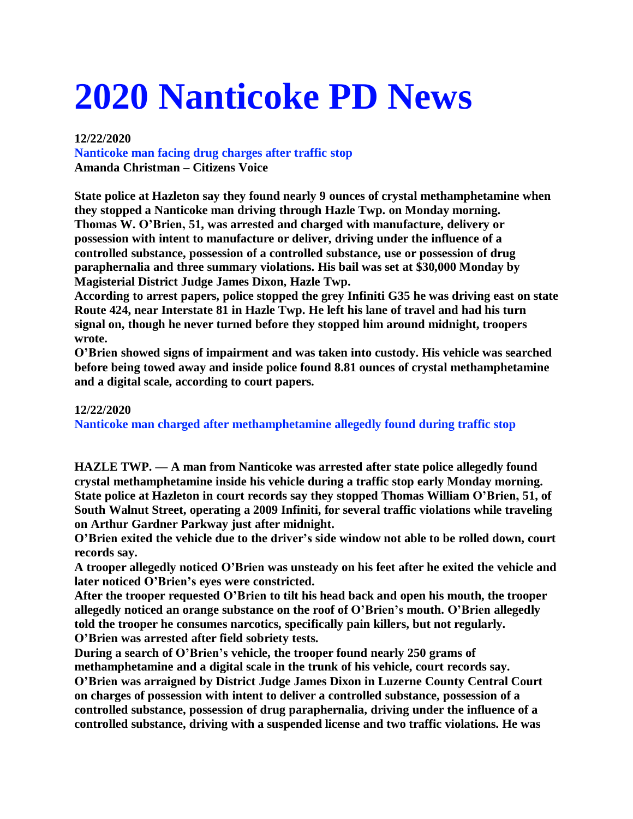# **2020 Nanticoke PD News**

## **12/22/2020**

**Nanticoke man facing drug charges after traffic stop Amanda Christman – Citizens Voice**

**State police at Hazleton say they found nearly 9 ounces of crystal methamphetamine when they stopped a Nanticoke man driving through Hazle Twp. on Monday morning. Thomas W. O'Brien, 51, was arrested and charged with manufacture, delivery or possession with intent to manufacture or deliver, driving under the influence of a controlled substance, possession of a controlled substance, use or possession of drug paraphernalia and three summary violations. His bail was set at \$30,000 Monday by Magisterial District Judge James Dixon, Hazle Twp.**

**According to arrest papers, police stopped the grey Infiniti G35 he was driving east on state Route 424, near Interstate 81 in Hazle Twp. He left his lane of travel and had his turn signal on, though he never turned before they stopped him around midnight, troopers wrote.**

**O'Brien showed signs of impairment and was taken into custody. His vehicle was searched before being towed away and inside police found 8.81 ounces of crystal methamphetamine and a digital scale, according to court papers.**

# **12/22/2020 Nanticoke man charged after methamphetamine allegedly found during traffic stop**

**HAZLE TWP. — A man from Nanticoke was arrested after state police allegedly found crystal methamphetamine inside his vehicle during a traffic stop early Monday morning. State police at Hazleton in court records say they stopped Thomas William O'Brien, 51, of South Walnut Street, operating a 2009 Infiniti, for several traffic violations while traveling on Arthur Gardner Parkway just after midnight.**

**O'Brien exited the vehicle due to the driver's side window not able to be rolled down, court records say.**

**A trooper allegedly noticed O'Brien was unsteady on his feet after he exited the vehicle and later noticed O'Brien's eyes were constricted.**

**After the trooper requested O'Brien to tilt his head back and open his mouth, the trooper allegedly noticed an orange substance on the roof of O'Brien's mouth. O'Brien allegedly told the trooper he consumes narcotics, specifically pain killers, but not regularly. O'Brien was arrested after field sobriety tests.**

**During a search of O'Brien's vehicle, the trooper found nearly 250 grams of**

**methamphetamine and a digital scale in the trunk of his vehicle, court records say.**

**O'Brien was arraigned by District Judge James Dixon in Luzerne County Central Court on charges of possession with intent to deliver a controlled substance, possession of a controlled substance, possession of drug paraphernalia, driving under the influence of a controlled substance, driving with a suspended license and two traffic violations. He was**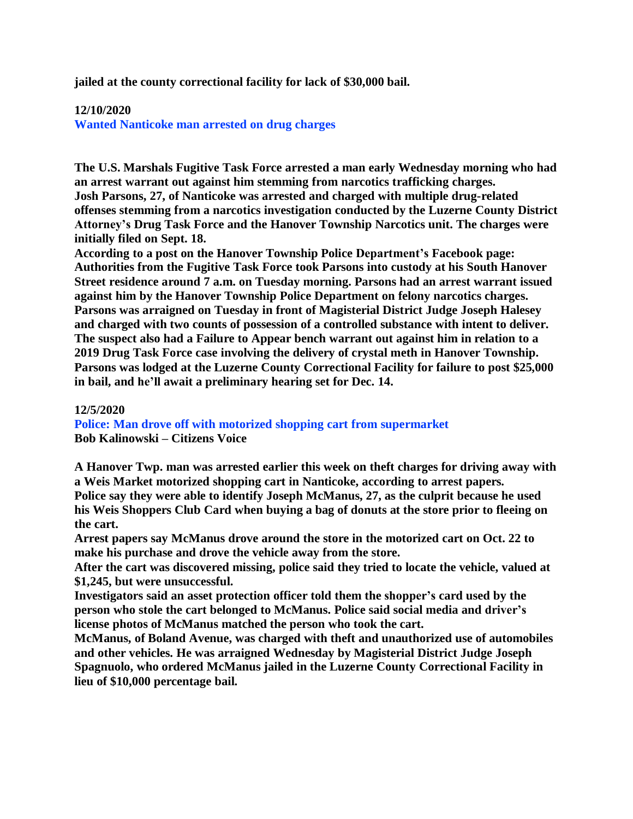**jailed at the county correctional facility for lack of \$30,000 bail.**

## **12/10/2020**

**Wanted Nanticoke man arrested on drug charges**

**The U.S. Marshals Fugitive Task Force arrested a man early Wednesday morning who had an arrest warrant out against him stemming from narcotics trafficking charges. Josh Parsons, 27, of Nanticoke was arrested and charged with multiple drug-related offenses stemming from a narcotics investigation conducted by the Luzerne County District Attorney's Drug Task Force and the Hanover Township Narcotics unit. The charges were initially filed on Sept. 18.**

**According to a post on the Hanover Township Police Department's Facebook page: Authorities from the Fugitive Task Force took Parsons into custody at his South Hanover Street residence around 7 a.m. on Tuesday morning. Parsons had an arrest warrant issued against him by the Hanover Township Police Department on felony narcotics charges. Parsons was arraigned on Tuesday in front of Magisterial District Judge Joseph Halesey and charged with two counts of possession of a controlled substance with intent to deliver. The suspect also had a Failure to Appear bench warrant out against him in relation to a 2019 Drug Task Force case involving the delivery of crystal meth in Hanover Township. Parsons was lodged at the Luzerne County Correctional Facility for failure to post \$25,000 in bail, and he'll await a preliminary hearing set for Dec. 14.**

# **12/5/2020 Police: Man drove off with motorized shopping cart from supermarket Bob Kalinowski – Citizens Voice**

**A Hanover Twp. man was arrested earlier this week on theft charges for driving away with a Weis Market motorized shopping cart in Nanticoke, according to arrest papers. Police say they were able to identify Joseph McManus, 27, as the culprit because he used his Weis Shoppers Club Card when buying a bag of donuts at the store prior to fleeing on the cart.**

**Arrest papers say McManus drove around the store in the motorized cart on Oct. 22 to make his purchase and drove the vehicle away from the store.**

**After the cart was discovered missing, police said they tried to locate the vehicle, valued at \$1,245, but were unsuccessful.**

**Investigators said an asset protection officer told them the shopper's card used by the person who stole the cart belonged to McManus. Police said social media and driver's license photos of McManus matched the person who took the cart.**

**McManus, of Boland Avenue, was charged with theft and unauthorized use of automobiles and other vehicles. He was arraigned Wednesday by Magisterial District Judge Joseph Spagnuolo, who ordered McManus jailed in the Luzerne County Correctional Facility in lieu of \$10,000 percentage bail.**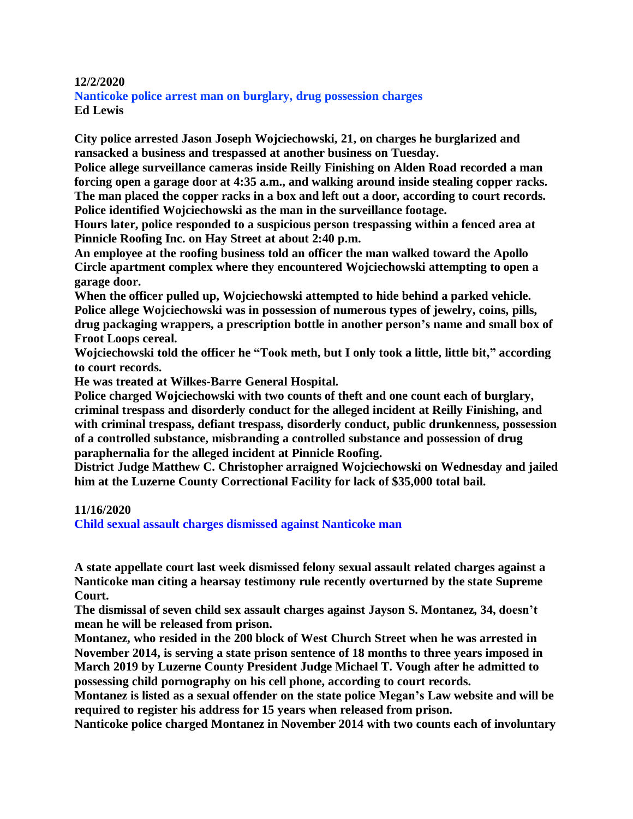#### **12/2/2020**

**Nanticoke police arrest man on burglary, drug possession charges Ed Lewis**

**City police arrested Jason Joseph Wojciechowski, 21, on charges he burglarized and ransacked a business and trespassed at another business on Tuesday.**

**Police allege surveillance cameras inside Reilly Finishing on Alden Road recorded a man forcing open a garage door at 4:35 a.m., and walking around inside stealing copper racks. The man placed the copper racks in a box and left out a door, according to court records. Police identified Wojciechowski as the man in the surveillance footage.**

**Hours later, police responded to a suspicious person trespassing within a fenced area at Pinnicle Roofing Inc. on Hay Street at about 2:40 p.m.**

**An employee at the roofing business told an officer the man walked toward the Apollo Circle apartment complex where they encountered Wojciechowski attempting to open a garage door.**

**When the officer pulled up, Wojciechowski attempted to hide behind a parked vehicle. Police allege Wojciechowski was in possession of numerous types of jewelry, coins, pills, drug packaging wrappers, a prescription bottle in another person's name and small box of Froot Loops cereal.**

**Wojciechowski told the officer he "Took meth, but I only took a little, little bit," according to court records.**

**He was treated at Wilkes-Barre General Hospital.**

**Police charged Wojciechowski with two counts of theft and one count each of burglary, criminal trespass and disorderly conduct for the alleged incident at Reilly Finishing, and with criminal trespass, defiant trespass, disorderly conduct, public drunkenness, possession of a controlled substance, misbranding a controlled substance and possession of drug paraphernalia for the alleged incident at Pinnicle Roofing.**

**District Judge Matthew C. Christopher arraigned Wojciechowski on Wednesday and jailed him at the Luzerne County Correctional Facility for lack of \$35,000 total bail.**

## **11/16/2020**

**Child sexual assault charges dismissed against Nanticoke man**

**A state appellate court last week dismissed felony sexual assault related charges against a Nanticoke man citing a hearsay testimony rule recently overturned by the state Supreme Court.**

**The dismissal of seven child sex assault charges against Jayson S. Montanez, 34, doesn't mean he will be released from prison.**

**Montanez, who resided in the 200 block of West Church Street when he was arrested in November 2014, is serving a state prison sentence of 18 months to three years imposed in March 2019 by Luzerne County President Judge Michael T. Vough after he admitted to possessing child pornography on his cell phone, according to court records.**

**Montanez is listed as a sexual offender on the state police Megan's Law website and will be required to register his address for 15 years when released from prison.**

**Nanticoke police charged Montanez in November 2014 with two counts each of involuntary**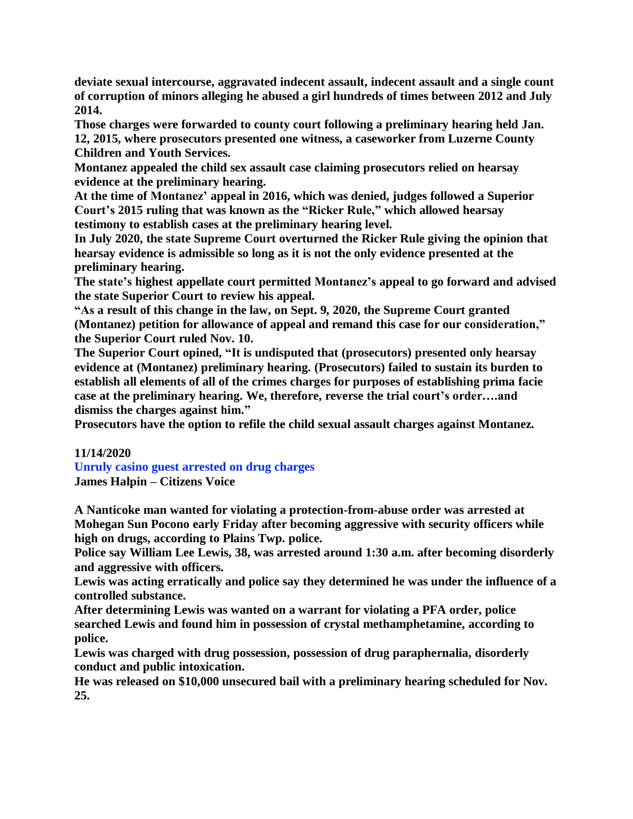**deviate sexual intercourse, aggravated indecent assault, indecent assault and a single count of corruption of minors alleging he abused a girl hundreds of times between 2012 and July 2014.**

**Those charges were forwarded to county court following a preliminary hearing held Jan. 12, 2015, where prosecutors presented one witness, a caseworker from Luzerne County Children and Youth Services.**

**Montanez appealed the child sex assault case claiming prosecutors relied on hearsay evidence at the preliminary hearing.**

**At the time of Montanez' appeal in 2016, which was denied, judges followed a Superior Court's 2015 ruling that was known as the "Ricker Rule," which allowed hearsay testimony to establish cases at the preliminary hearing level.**

**In July 2020, the state Supreme Court overturned the Ricker Rule giving the opinion that hearsay evidence is admissible so long as it is not the only evidence presented at the preliminary hearing.**

**The state's highest appellate court permitted Montanez's appeal to go forward and advised the state Superior Court to review his appeal.**

**"As a result of this change in the law, on Sept. 9, 2020, the Supreme Court granted (Montanez) petition for allowance of appeal and remand this case for our consideration," the Superior Court ruled Nov. 10.**

**The Superior Court opined, "It is undisputed that (prosecutors) presented only hearsay evidence at (Montanez) preliminary hearing. (Prosecutors) failed to sustain its burden to establish all elements of all of the crimes charges for purposes of establishing prima facie case at the preliminary hearing. We, therefore, reverse the trial court's order….and dismiss the charges against him."**

**Prosecutors have the option to refile the child sexual assault charges against Montanez.**

# **11/14/2020**

**Unruly casino guest arrested on drug charges James Halpin – Citizens Voice**

**A Nanticoke man wanted for violating a protection-from-abuse order was arrested at Mohegan Sun Pocono early Friday after becoming aggressive with security officers while high on drugs, according to Plains Twp. police.**

**Police say William Lee Lewis, 38, was arrested around 1:30 a.m. after becoming disorderly and aggressive with officers.**

**Lewis was acting erratically and police say they determined he was under the influence of a controlled substance.**

**After determining Lewis was wanted on a warrant for violating a PFA order, police searched Lewis and found him in possession of crystal methamphetamine, according to police.**

**Lewis was charged with drug possession, possession of drug paraphernalia, disorderly conduct and public intoxication.**

**He was released on \$10,000 unsecured bail with a preliminary hearing scheduled for Nov. 25.**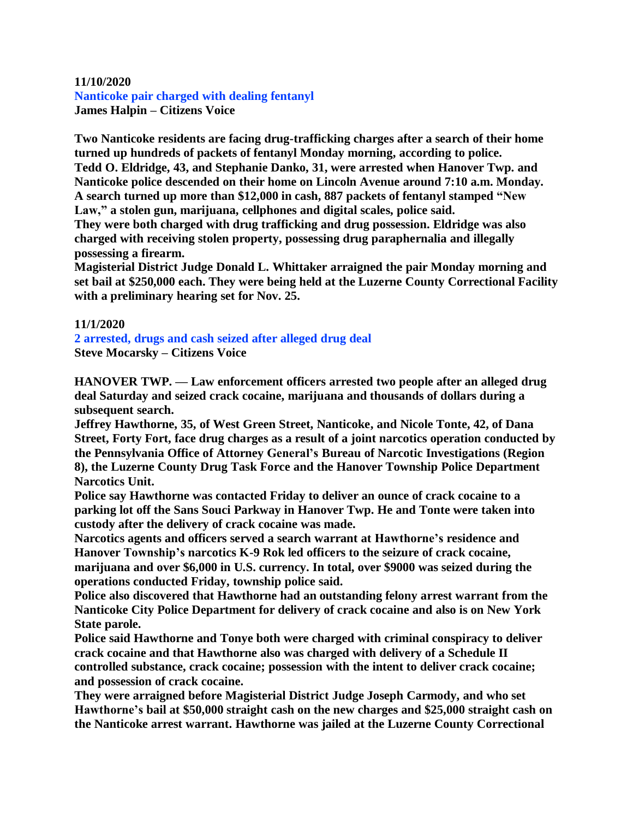## **11/10/2020**

**Nanticoke pair charged with dealing fentanyl James Halpin – Citizens Voice**

**Two Nanticoke residents are facing drug-trafficking charges after a search of their home turned up hundreds of packets of fentanyl Monday morning, according to police. Tedd O. Eldridge, 43, and Stephanie Danko, 31, were arrested when Hanover Twp. and Nanticoke police descended on their home on Lincoln Avenue around 7:10 a.m. Monday. A search turned up more than \$12,000 in cash, 887 packets of fentanyl stamped "New Law," a stolen gun, marijuana, cellphones and digital scales, police said.**

**They were both charged with drug trafficking and drug possession. Eldridge was also charged with receiving stolen property, possessing drug paraphernalia and illegally possessing a firearm.**

**Magisterial District Judge Donald L. Whittaker arraigned the pair Monday morning and set bail at \$250,000 each. They were being held at the Luzerne County Correctional Facility with a preliminary hearing set for Nov. 25.**

## **11/1/2020**

**2 arrested, drugs and cash seized after alleged drug deal Steve Mocarsky – Citizens Voice**

**HANOVER TWP. — Law enforcement officers arrested two people after an alleged drug deal Saturday and seized crack cocaine, marijuana and thousands of dollars during a subsequent search.**

**Jeffrey Hawthorne, 35, of West Green Street, Nanticoke, and Nicole Tonte, 42, of Dana Street, Forty Fort, face drug charges as a result of a joint narcotics operation conducted by the Pennsylvania Office of Attorney General's Bureau of Narcotic Investigations (Region 8), the Luzerne County Drug Task Force and the Hanover Township Police Department Narcotics Unit.**

**Police say Hawthorne was contacted Friday to deliver an ounce of crack cocaine to a parking lot off the Sans Souci Parkway in Hanover Twp. He and Tonte were taken into custody after the delivery of crack cocaine was made.**

**Narcotics agents and officers served a search warrant at Hawthorne's residence and Hanover Township's narcotics K-9 Rok led officers to the seizure of crack cocaine, marijuana and over \$6,000 in U.S. currency. In total, over \$9000 was seized during the operations conducted Friday, township police said.**

**Police also discovered that Hawthorne had an outstanding felony arrest warrant from the Nanticoke City Police Department for delivery of crack cocaine and also is on New York State parole.**

**Police said Hawthorne and Tonye both were charged with criminal conspiracy to deliver crack cocaine and that Hawthorne also was charged with delivery of a Schedule II controlled substance, crack cocaine; possession with the intent to deliver crack cocaine; and possession of crack cocaine.**

**They were arraigned before Magisterial District Judge Joseph Carmody, and who set Hawthorne's bail at \$50,000 straight cash on the new charges and \$25,000 straight cash on the Nanticoke arrest warrant. Hawthorne was jailed at the Luzerne County Correctional**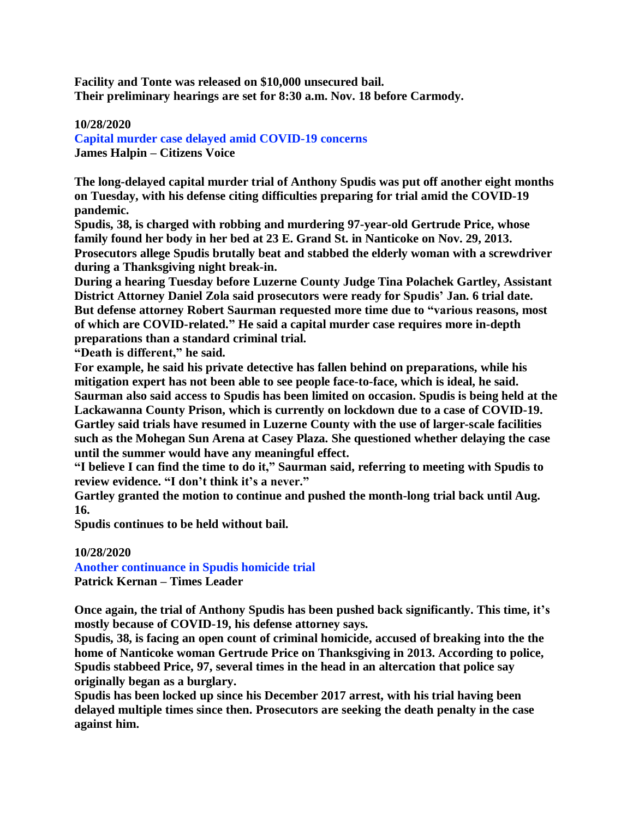**Facility and Tonte was released on \$10,000 unsecured bail. Their preliminary hearings are set for 8:30 a.m. Nov. 18 before Carmody.**

## **10/28/2020**

**Capital murder case delayed amid COVID-19 concerns James Halpin – Citizens Voice**

**The long-delayed capital murder trial of Anthony Spudis was put off another eight months on Tuesday, with his defense citing difficulties preparing for trial amid the COVID-19 pandemic.**

**Spudis, 38, is charged with robbing and murdering 97-year-old Gertrude Price, whose family found her body in her bed at 23 E. Grand St. in Nanticoke on Nov. 29, 2013. Prosecutors allege Spudis brutally beat and stabbed the elderly woman with a screwdriver during a Thanksgiving night break-in.**

**During a hearing Tuesday before Luzerne County Judge Tina Polachek Gartley, Assistant District Attorney Daniel Zola said prosecutors were ready for Spudis' Jan. 6 trial date. But defense attorney Robert Saurman requested more time due to "various reasons, most of which are COVID-related." He said a capital murder case requires more in-depth preparations than a standard criminal trial.**

**"Death is different," he said.**

**For example, he said his private detective has fallen behind on preparations, while his mitigation expert has not been able to see people face-to-face, which is ideal, he said. Saurman also said access to Spudis has been limited on occasion. Spudis is being held at the Lackawanna County Prison, which is currently on lockdown due to a case of COVID-19. Gartley said trials have resumed in Luzerne County with the use of larger-scale facilities such as the Mohegan Sun Arena at Casey Plaza. She questioned whether delaying the case until the summer would have any meaningful effect.**

**"I believe I can find the time to do it," Saurman said, referring to meeting with Spudis to review evidence. "I don't think it's a never."**

**Gartley granted the motion to continue and pushed the month-long trial back until Aug. 16.**

**Spudis continues to be held without bail.**

## **10/28/2020**

**Another continuance in Spudis homicide trial Patrick Kernan – Times Leader**

**Once again, the trial of Anthony Spudis has been pushed back significantly. This time, it's mostly because of COVID-19, his defense attorney says.**

**Spudis, 38, is facing an open count of criminal homicide, accused of breaking into the the home of Nanticoke woman Gertrude Price on Thanksgiving in 2013. According to police, Spudis stabbeed Price, 97, several times in the head in an altercation that police say originally began as a burglary.**

**Spudis has been locked up since his December 2017 arrest, with his trial having been delayed multiple times since then. Prosecutors are seeking the death penalty in the case against him.**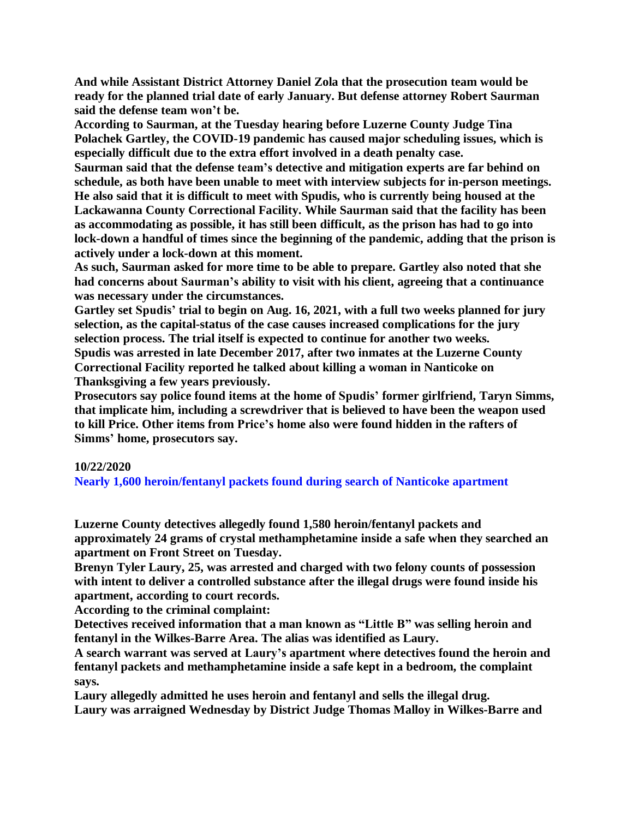**And while Assistant District Attorney Daniel Zola that the prosecution team would be ready for the planned trial date of early January. But defense attorney Robert Saurman said the defense team won't be.**

**According to Saurman, at the Tuesday hearing before Luzerne County Judge Tina Polachek Gartley, the COVID-19 pandemic has caused major scheduling issues, which is especially difficult due to the extra effort involved in a death penalty case.**

**Saurman said that the defense team's detective and mitigation experts are far behind on schedule, as both have been unable to meet with interview subjects for in-person meetings. He also said that it is difficult to meet with Spudis, who is currently being housed at the Lackawanna County Correctional Facility. While Saurman said that the facility has been as accommodating as possible, it has still been difficult, as the prison has had to go into lock-down a handful of times since the beginning of the pandemic, adding that the prison is actively under a lock-down at this moment.**

**As such, Saurman asked for more time to be able to prepare. Gartley also noted that she had concerns about Saurman's ability to visit with his client, agreeing that a continuance was necessary under the circumstances.**

**Gartley set Spudis' trial to begin on Aug. 16, 2021, with a full two weeks planned for jury selection, as the capital-status of the case causes increased complications for the jury selection process. The trial itself is expected to continue for another two weeks. Spudis was arrested in late December 2017, after two inmates at the Luzerne County Correctional Facility reported he talked about killing a woman in Nanticoke on Thanksgiving a few years previously.**

**Prosecutors say police found items at the home of Spudis' former girlfriend, Taryn Simms, that implicate him, including a screwdriver that is believed to have been the weapon used to kill Price. Other items from Price's home also were found hidden in the rafters of Simms' home, prosecutors say.**

## **10/22/2020**

**Nearly 1,600 heroin/fentanyl packets found during search of Nanticoke apartment**

**Luzerne County detectives allegedly found 1,580 heroin/fentanyl packets and approximately 24 grams of crystal methamphetamine inside a safe when they searched an apartment on Front Street on Tuesday.**

**Brenyn Tyler Laury, 25, was arrested and charged with two felony counts of possession with intent to deliver a controlled substance after the illegal drugs were found inside his apartment, according to court records.**

**According to the criminal complaint:**

**Detectives received information that a man known as "Little B" was selling heroin and fentanyl in the Wilkes-Barre Area. The alias was identified as Laury.**

**A search warrant was served at Laury's apartment where detectives found the heroin and fentanyl packets and methamphetamine inside a safe kept in a bedroom, the complaint says.**

**Laury allegedly admitted he uses heroin and fentanyl and sells the illegal drug. Laury was arraigned Wednesday by District Judge Thomas Malloy in Wilkes-Barre and**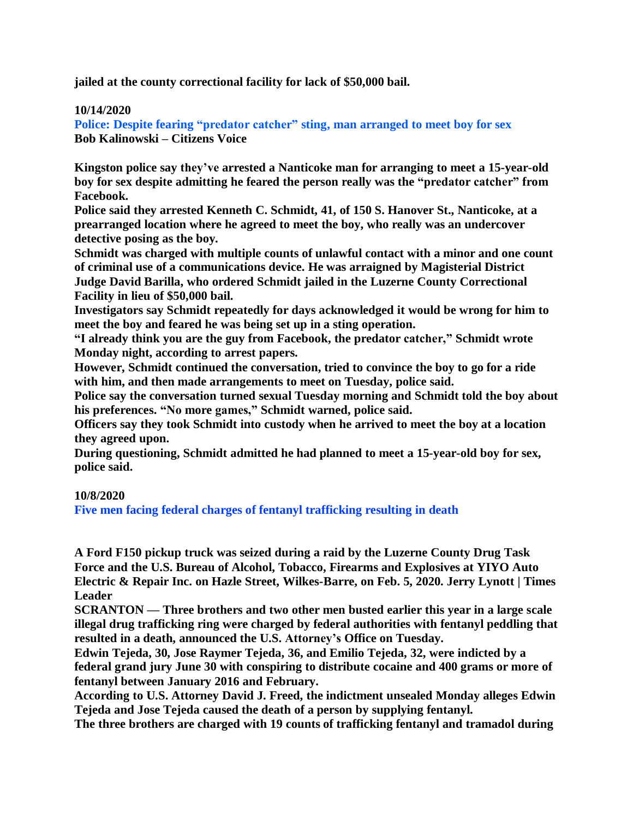**jailed at the county correctional facility for lack of \$50,000 bail.**

## **10/14/2020**

**Police: Despite fearing "predator catcher" sting, man arranged to meet boy for sex Bob Kalinowski – Citizens Voice**

**Kingston police say they've arrested a Nanticoke man for arranging to meet a 15-year-old boy for sex despite admitting he feared the person really was the "predator catcher" from Facebook.**

**Police said they arrested Kenneth C. Schmidt, 41, of 150 S. Hanover St., Nanticoke, at a prearranged location where he agreed to meet the boy, who really was an undercover detective posing as the boy.**

**Schmidt was charged with multiple counts of unlawful contact with a minor and one count of criminal use of a communications device. He was arraigned by Magisterial District Judge David Barilla, who ordered Schmidt jailed in the Luzerne County Correctional Facility in lieu of \$50,000 bail.**

**Investigators say Schmidt repeatedly for days acknowledged it would be wrong for him to meet the boy and feared he was being set up in a sting operation.**

**"I already think you are the guy from Facebook, the predator catcher," Schmidt wrote Monday night, according to arrest papers.**

**However, Schmidt continued the conversation, tried to convince the boy to go for a ride with him, and then made arrangements to meet on Tuesday, police said.**

**Police say the conversation turned sexual Tuesday morning and Schmidt told the boy about his preferences. "No more games," Schmidt warned, police said.**

**Officers say they took Schmidt into custody when he arrived to meet the boy at a location they agreed upon.**

**During questioning, Schmidt admitted he had planned to meet a 15-year-old boy for sex, police said.**

## **10/8/2020**

**Five men facing federal charges of fentanyl trafficking resulting in death**

**A Ford F150 pickup truck was seized during a raid by the Luzerne County Drug Task Force and the U.S. Bureau of Alcohol, Tobacco, Firearms and Explosives at YIYO Auto Electric & Repair Inc. on Hazle Street, Wilkes-Barre, on Feb. 5, 2020. Jerry Lynott | Times Leader**

**SCRANTON — Three brothers and two other men busted earlier this year in a large scale illegal drug trafficking ring were charged by federal authorities with fentanyl peddling that resulted in a death, announced the U.S. Attorney's Office on Tuesday.**

**Edwin Tejeda, 30, Jose Raymer Tejeda, 36, and Emilio Tejeda, 32, were indicted by a federal grand jury June 30 with conspiring to distribute cocaine and 400 grams or more of fentanyl between January 2016 and February.**

**According to U.S. Attorney David J. Freed, the indictment unsealed Monday alleges Edwin Tejeda and Jose Tejeda caused the death of a person by supplying fentanyl.**

**The three brothers are charged with 19 counts of trafficking fentanyl and tramadol during**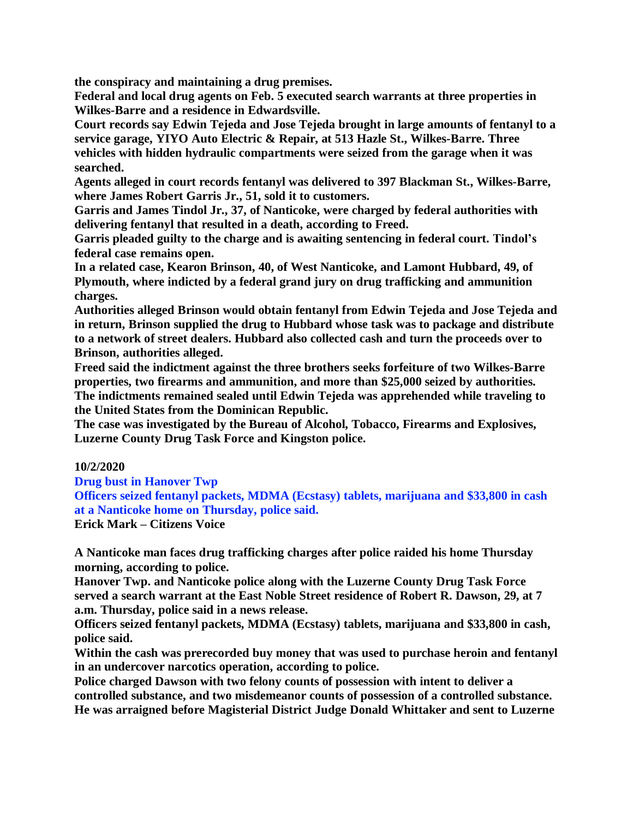**the conspiracy and maintaining a drug premises.**

**Federal and local drug agents on Feb. 5 executed search warrants at three properties in Wilkes-Barre and a residence in Edwardsville.**

**Court records say Edwin Tejeda and Jose Tejeda brought in large amounts of fentanyl to a service garage, YIYO Auto Electric & Repair, at 513 Hazle St., Wilkes-Barre. Three vehicles with hidden hydraulic compartments were seized from the garage when it was searched.**

**Agents alleged in court records fentanyl was delivered to 397 Blackman St., Wilkes-Barre, where James Robert Garris Jr., 51, sold it to customers.**

**Garris and James Tindol Jr., 37, of Nanticoke, were charged by federal authorities with delivering fentanyl that resulted in a death, according to Freed.**

**Garris pleaded guilty to the charge and is awaiting sentencing in federal court. Tindol's federal case remains open.**

**In a related case, Kearon Brinson, 40, of West Nanticoke, and Lamont Hubbard, 49, of Plymouth, where indicted by a federal grand jury on drug trafficking and ammunition charges.**

**Authorities alleged Brinson would obtain fentanyl from Edwin Tejeda and Jose Tejeda and in return, Brinson supplied the drug to Hubbard whose task was to package and distribute to a network of street dealers. Hubbard also collected cash and turn the proceeds over to Brinson, authorities alleged.**

**Freed said the indictment against the three brothers seeks forfeiture of two Wilkes-Barre properties, two firearms and ammunition, and more than \$25,000 seized by authorities. The indictments remained sealed until Edwin Tejeda was apprehended while traveling to the United States from the Dominican Republic.**

**The case was investigated by the Bureau of Alcohol, Tobacco, Firearms and Explosives, Luzerne County Drug Task Force and Kingston police.**

## **10/2/2020**

**Drug bust in Hanover Twp**

**Officers seized fentanyl packets, MDMA (Ecstasy) tablets, marijuana and \$33,800 in cash at a Nanticoke home on Thursday, police said.**

**Erick Mark – Citizens Voice**

**A Nanticoke man faces drug trafficking charges after police raided his home Thursday morning, according to police.**

**Hanover Twp. and Nanticoke police along with the Luzerne County Drug Task Force served a search warrant at the East Noble Street residence of Robert R. Dawson, 29, at 7 a.m. Thursday, police said in a news release.**

**Officers seized fentanyl packets, MDMA (Ecstasy) tablets, marijuana and \$33,800 in cash, police said.**

**Within the cash was prerecorded buy money that was used to purchase heroin and fentanyl in an undercover narcotics operation, according to police.**

**Police charged Dawson with two felony counts of possession with intent to deliver a controlled substance, and two misdemeanor counts of possession of a controlled substance. He was arraigned before Magisterial District Judge Donald Whittaker and sent to Luzerne**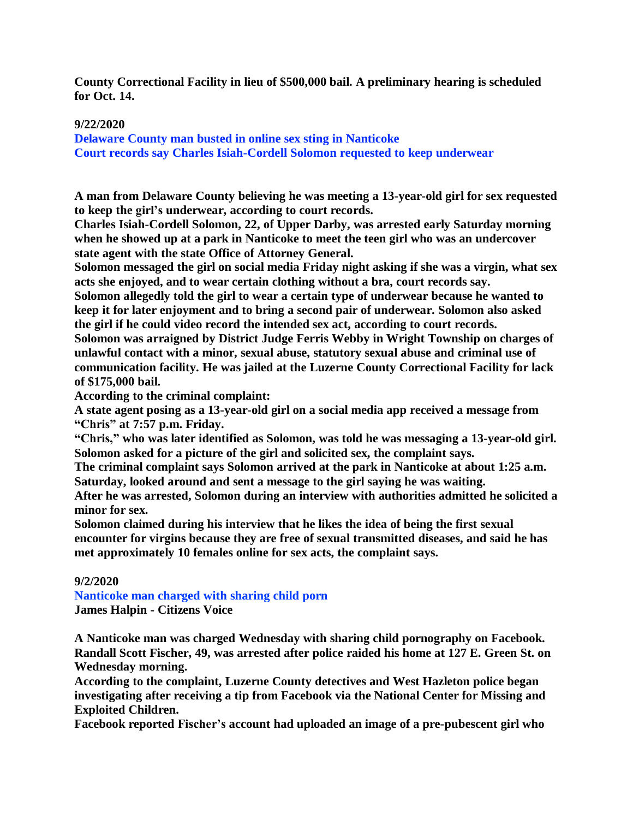**County Correctional Facility in lieu of \$500,000 bail. A preliminary hearing is scheduled for Oct. 14.**

## **9/22/2020**

**Delaware County man busted in online sex sting in Nanticoke Court records say Charles Isiah-Cordell Solomon requested to keep underwear**

**A man from Delaware County believing he was meeting a 13-year-old girl for sex requested to keep the girl's underwear, according to court records.**

**Charles Isiah-Cordell Solomon, 22, of Upper Darby, was arrested early Saturday morning when he showed up at a park in Nanticoke to meet the teen girl who was an undercover state agent with the state Office of Attorney General.**

**Solomon messaged the girl on social media Friday night asking if she was a virgin, what sex acts she enjoyed, and to wear certain clothing without a bra, court records say.**

**Solomon allegedly told the girl to wear a certain type of underwear because he wanted to keep it for later enjoyment and to bring a second pair of underwear. Solomon also asked the girl if he could video record the intended sex act, according to court records.**

**Solomon was arraigned by District Judge Ferris Webby in Wright Township on charges of unlawful contact with a minor, sexual abuse, statutory sexual abuse and criminal use of communication facility. He was jailed at the Luzerne County Correctional Facility for lack of \$175,000 bail.**

**According to the criminal complaint:**

**A state agent posing as a 13-year-old girl on a social media app received a message from "Chris" at 7:57 p.m. Friday.**

**"Chris," who was later identified as Solomon, was told he was messaging a 13-year-old girl. Solomon asked for a picture of the girl and solicited sex, the complaint says.**

**The criminal complaint says Solomon arrived at the park in Nanticoke at about 1:25 a.m. Saturday, looked around and sent a message to the girl saying he was waiting.**

**After he was arrested, Solomon during an interview with authorities admitted he solicited a minor for sex.**

**Solomon claimed during his interview that he likes the idea of being the first sexual encounter for virgins because they are free of sexual transmitted diseases, and said he has met approximately 10 females online for sex acts, the complaint says.**

## **9/2/2020**

**Nanticoke man charged with sharing child porn James Halpin - Citizens Voice**

**A Nanticoke man was charged Wednesday with sharing child pornography on Facebook. Randall Scott Fischer, 49, was arrested after police raided his home at 127 E. Green St. on Wednesday morning.**

**According to the complaint, Luzerne County detectives and West Hazleton police began investigating after receiving a tip from Facebook via the National Center for Missing and Exploited Children.**

**Facebook reported Fischer's account had uploaded an image of a pre-pubescent girl who**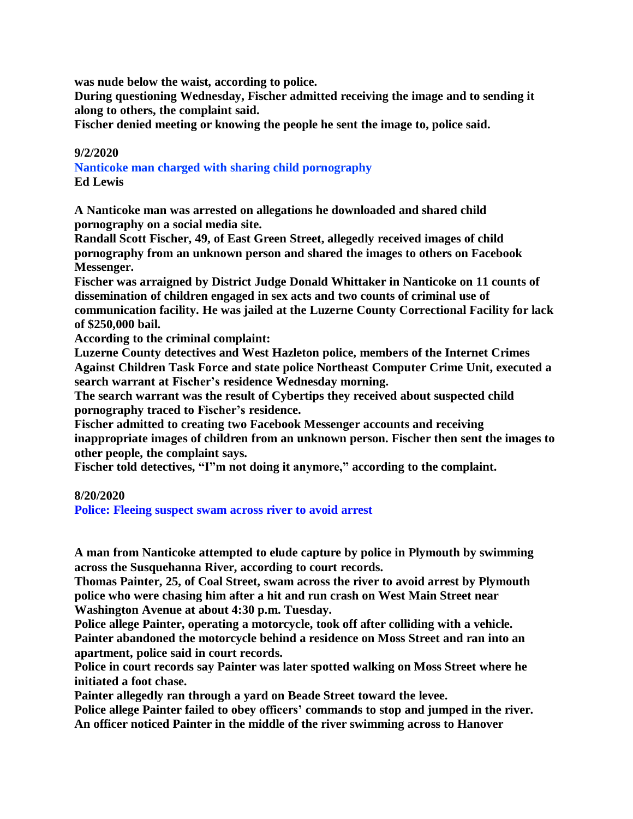**was nude below the waist, according to police.**

**During questioning Wednesday, Fischer admitted receiving the image and to sending it along to others, the complaint said.**

**Fischer denied meeting or knowing the people he sent the image to, police said.**

## **9/2/2020**

**Nanticoke man charged with sharing child pornography Ed Lewis**

**A Nanticoke man was arrested on allegations he downloaded and shared child pornography on a social media site.**

**Randall Scott Fischer, 49, of East Green Street, allegedly received images of child pornography from an unknown person and shared the images to others on Facebook Messenger.**

**Fischer was arraigned by District Judge Donald Whittaker in Nanticoke on 11 counts of dissemination of children engaged in sex acts and two counts of criminal use of communication facility. He was jailed at the Luzerne County Correctional Facility for lack of \$250,000 bail.**

**According to the criminal complaint:**

**Luzerne County detectives and West Hazleton police, members of the Internet Crimes Against Children Task Force and state police Northeast Computer Crime Unit, executed a search warrant at Fischer's residence Wednesday morning.**

**The search warrant was the result of Cybertips they received about suspected child pornography traced to Fischer's residence.**

**Fischer admitted to creating two Facebook Messenger accounts and receiving inappropriate images of children from an unknown person. Fischer then sent the images to other people, the complaint says.**

**Fischer told detectives, "I"m not doing it anymore," according to the complaint.**

## **8/20/2020**

**Police: Fleeing suspect swam across river to avoid arrest**

**A man from Nanticoke attempted to elude capture by police in Plymouth by swimming across the Susquehanna River, according to court records.**

**Thomas Painter, 25, of Coal Street, swam across the river to avoid arrest by Plymouth police who were chasing him after a hit and run crash on West Main Street near Washington Avenue at about 4:30 p.m. Tuesday.**

**Police allege Painter, operating a motorcycle, took off after colliding with a vehicle. Painter abandoned the motorcycle behind a residence on Moss Street and ran into an apartment, police said in court records.**

**Police in court records say Painter was later spotted walking on Moss Street where he initiated a foot chase.**

**Painter allegedly ran through a yard on Beade Street toward the levee.**

**Police allege Painter failed to obey officers' commands to stop and jumped in the river. An officer noticed Painter in the middle of the river swimming across to Hanover**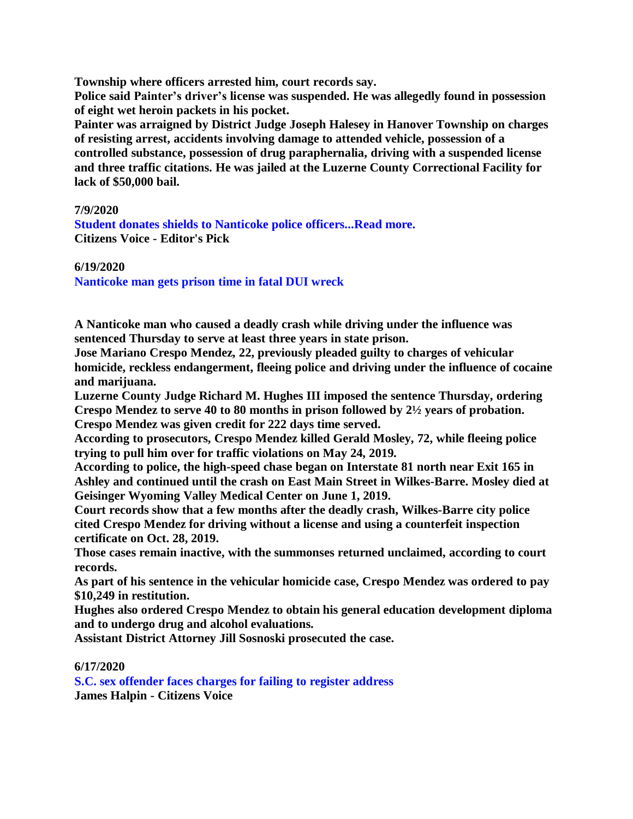**Township where officers arrested him, court records say.**

**Police said Painter's driver's license was suspended. He was allegedly found in possession of eight wet heroin packets in his pocket.**

**Painter was arraigned by District Judge Joseph Halesey in Hanover Township on charges of resisting arrest, accidents involving damage to attended vehicle, possession of a controlled substance, possession of drug paraphernalia, driving with a suspended license and three traffic citations. He was jailed at the Luzerne County Correctional Facility for lack of \$50,000 bail.**

## **7/9/2020**

**[Student donates shields to Nanticoke police officers...Read more.](https://d226885e-a4ad-4a56-a220-41f1415494d2.filesusr.com/ugd/160730_c5dbae7781e64b85b10be8c65c8d6006.pdf) Citizens Voice - Editor's Pick**

**6/19/2020**

**Nanticoke man gets prison time in fatal DUI wreck**

**A Nanticoke man who caused a deadly crash while driving under the influence was sentenced Thursday to serve at least three years in state prison.**

**Jose Mariano Crespo Mendez, 22, previously pleaded guilty to charges of vehicular homicide, reckless endangerment, fleeing police and driving under the influence of cocaine and marijuana.**

**Luzerne County Judge Richard M. Hughes III imposed the sentence Thursday, ordering Crespo Mendez to serve 40 to 80 months in prison followed by 2½ years of probation. Crespo Mendez was given credit for 222 days time served.**

**According to prosecutors, Crespo Mendez killed Gerald Mosley, 72, while fleeing police trying to pull him over for traffic violations on May 24, 2019.**

**According to police, the high-speed chase began on Interstate 81 north near Exit 165 in Ashley and continued until the crash on East Main Street in Wilkes-Barre. Mosley died at Geisinger Wyoming Valley Medical Center on June 1, 2019.**

**Court records show that a few months after the deadly crash, Wilkes-Barre city police cited Crespo Mendez for driving without a license and using a counterfeit inspection certificate on Oct. 28, 2019.**

**Those cases remain inactive, with the summonses returned unclaimed, according to court records.**

**As part of his sentence in the vehicular homicide case, Crespo Mendez was ordered to pay \$10,249 in restitution.**

**Hughes also ordered Crespo Mendez to obtain his general education development diploma and to undergo drug and alcohol evaluations.**

**Assistant District Attorney Jill Sosnoski prosecuted the case.**

## **6/17/2020**

**S.C. sex offender faces charges for failing to register address James Halpin - Citizens Voice**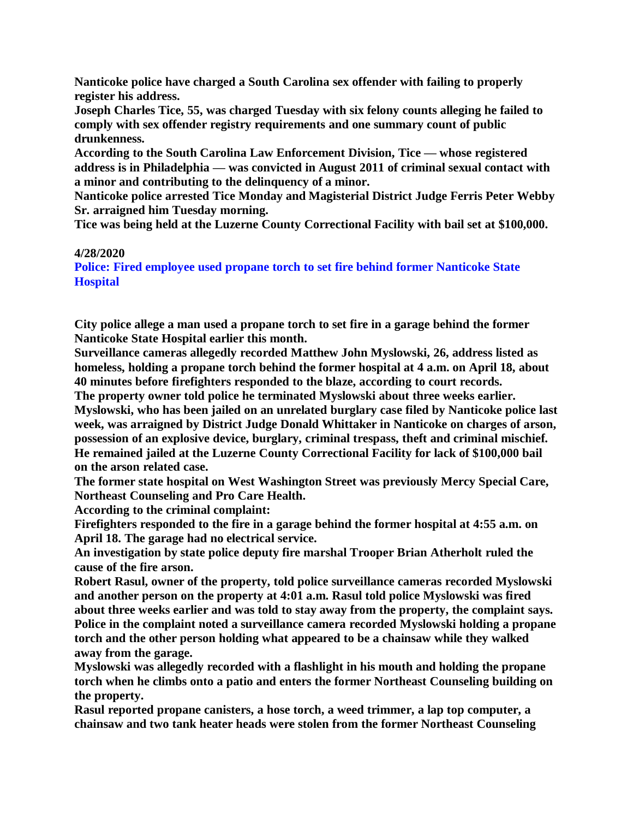**Nanticoke police have charged a South Carolina sex offender with failing to properly register his address.**

**Joseph Charles Tice, 55, was charged Tuesday with six felony counts alleging he failed to comply with sex offender registry requirements and one summary count of public drunkenness.**

**According to the South Carolina Law Enforcement Division, Tice — whose registered address is in Philadelphia — was convicted in August 2011 of criminal sexual contact with a minor and contributing to the delinquency of a minor.**

**Nanticoke police arrested Tice Monday and Magisterial District Judge Ferris Peter Webby Sr. arraigned him Tuesday morning.**

**Tice was being held at the Luzerne County Correctional Facility with bail set at \$100,000.**

## **4/28/2020**

**Police: Fired employee used propane torch to set fire behind former Nanticoke State Hospital**

**City police allege a man used a propane torch to set fire in a garage behind the former Nanticoke State Hospital earlier this month.**

**Surveillance cameras allegedly recorded Matthew John Myslowski, 26, address listed as homeless, holding a propane torch behind the former hospital at 4 a.m. on April 18, about 40 minutes before firefighters responded to the blaze, according to court records.**

**The property owner told police he terminated Myslowski about three weeks earlier. Myslowski, who has been jailed on an unrelated burglary case filed by Nanticoke police last week, was arraigned by District Judge Donald Whittaker in Nanticoke on charges of arson, possession of an explosive device, burglary, criminal trespass, theft and criminal mischief. He remained jailed at the Luzerne County Correctional Facility for lack of \$100,000 bail on the arson related case.**

**The former state hospital on West Washington Street was previously Mercy Special Care, Northeast Counseling and Pro Care Health.**

**According to the criminal complaint:**

**Firefighters responded to the fire in a garage behind the former hospital at 4:55 a.m. on April 18. The garage had no electrical service.**

**An investigation by state police deputy fire marshal Trooper Brian Atherholt ruled the cause of the fire arson.**

**Robert Rasul, owner of the property, told police surveillance cameras recorded Myslowski and another person on the property at 4:01 a.m. Rasul told police Myslowski was fired about three weeks earlier and was told to stay away from the property, the complaint says. Police in the complaint noted a surveillance camera recorded Myslowski holding a propane torch and the other person holding what appeared to be a chainsaw while they walked away from the garage.**

**Myslowski was allegedly recorded with a flashlight in his mouth and holding the propane torch when he climbs onto a patio and enters the former Northeast Counseling building on the property.**

**Rasul reported propane canisters, a hose torch, a weed trimmer, a lap top computer, a chainsaw and two tank heater heads were stolen from the former Northeast Counseling**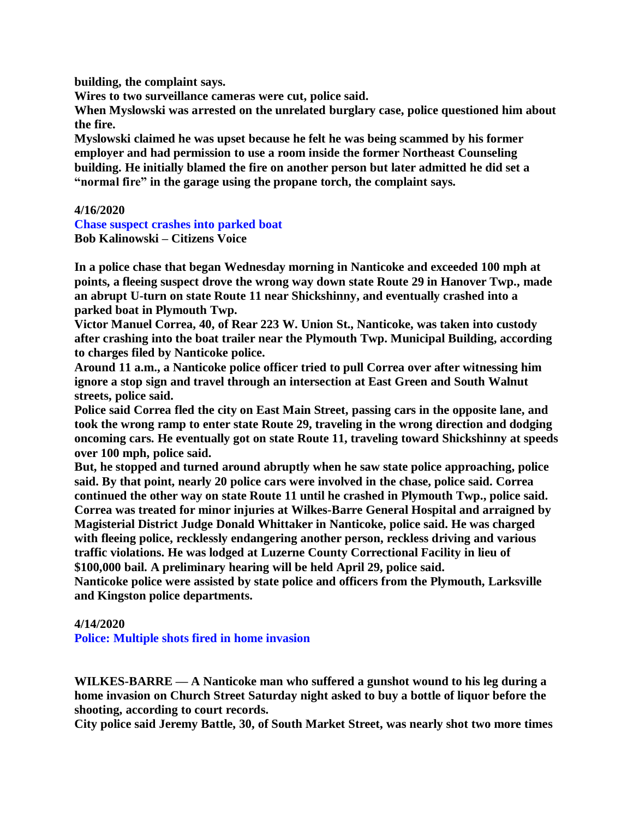**building, the complaint says.**

**Wires to two surveillance cameras were cut, police said.**

**When Myslowski was arrested on the unrelated burglary case, police questioned him about the fire.**

**Myslowski claimed he was upset because he felt he was being scammed by his former employer and had permission to use a room inside the former Northeast Counseling building. He initially blamed the fire on another person but later admitted he did set a "normal fire" in the garage using the propane torch, the complaint says.**

#### **4/16/2020**

**Chase suspect crashes into parked boat Bob Kalinowski – Citizens Voice**

**In a police chase that began Wednesday morning in Nanticoke and exceeded 100 mph at points, a fleeing suspect drove the wrong way down state Route 29 in Hanover Twp., made an abrupt U-turn on state Route 11 near Shickshinny, and eventually crashed into a parked boat in Plymouth Twp.**

**Victor Manuel Correa, 40, of Rear 223 W. Union St., Nanticoke, was taken into custody after crashing into the boat trailer near the Plymouth Twp. Municipal Building, according to charges filed by Nanticoke police.**

**Around 11 a.m., a Nanticoke police officer tried to pull Correa over after witnessing him ignore a stop sign and travel through an intersection at East Green and South Walnut streets, police said.**

**Police said Correa fled the city on East Main Street, passing cars in the opposite lane, and took the wrong ramp to enter state Route 29, traveling in the wrong direction and dodging oncoming cars. He eventually got on state Route 11, traveling toward Shickshinny at speeds over 100 mph, police said.**

**But, he stopped and turned around abruptly when he saw state police approaching, police said. By that point, nearly 20 police cars were involved in the chase, police said. Correa continued the other way on state Route 11 until he crashed in Plymouth Twp., police said. Correa was treated for minor injuries at Wilkes-Barre General Hospital and arraigned by Magisterial District Judge Donald Whittaker in Nanticoke, police said. He was charged with fleeing police, recklessly endangering another person, reckless driving and various traffic violations. He was lodged at Luzerne County Correctional Facility in lieu of \$100,000 bail. A preliminary hearing will be held April 29, police said.**

**Nanticoke police were assisted by state police and officers from the Plymouth, Larksville and Kingston police departments.**

#### **4/14/2020**

**Police: Multiple shots fired in home invasion**

**WILKES-BARRE — A Nanticoke man who suffered a gunshot wound to his leg during a home invasion on Church Street Saturday night asked to buy a bottle of liquor before the shooting, according to court records.**

**City police said Jeremy Battle, 30, of South Market Street, was nearly shot two more times**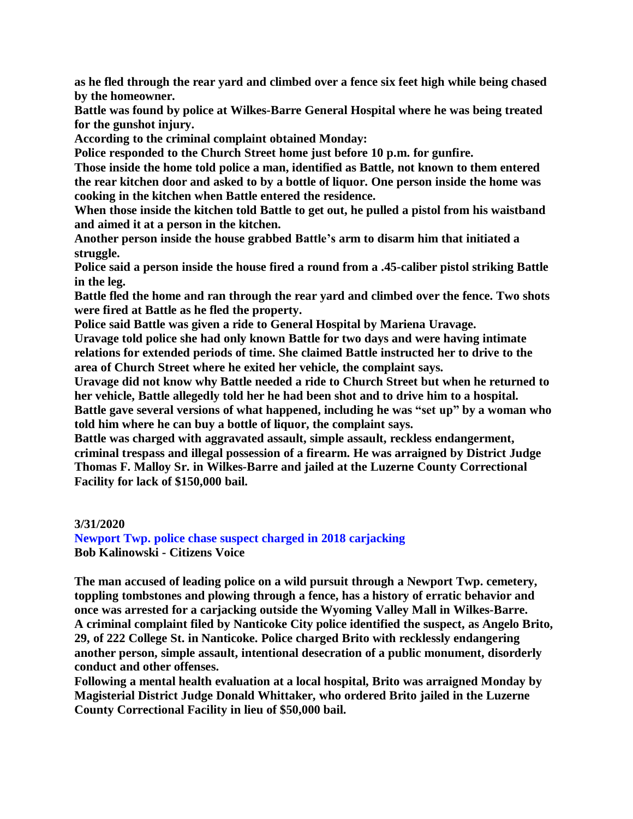**as he fled through the rear yard and climbed over a fence six feet high while being chased by the homeowner.**

**Battle was found by police at Wilkes-Barre General Hospital where he was being treated for the gunshot injury.**

**According to the criminal complaint obtained Monday:**

**Police responded to the Church Street home just before 10 p.m. for gunfire.**

**Those inside the home told police a man, identified as Battle, not known to them entered the rear kitchen door and asked to by a bottle of liquor. One person inside the home was cooking in the kitchen when Battle entered the residence.**

**When those inside the kitchen told Battle to get out, he pulled a pistol from his waistband and aimed it at a person in the kitchen.**

**Another person inside the house grabbed Battle's arm to disarm him that initiated a struggle.**

**Police said a person inside the house fired a round from a .45-caliber pistol striking Battle in the leg.**

**Battle fled the home and ran through the rear yard and climbed over the fence. Two shots were fired at Battle as he fled the property.**

**Police said Battle was given a ride to General Hospital by Mariena Uravage.**

**Uravage told police she had only known Battle for two days and were having intimate relations for extended periods of time. She claimed Battle instructed her to drive to the area of Church Street where he exited her vehicle, the complaint says.**

**Uravage did not know why Battle needed a ride to Church Street but when he returned to her vehicle, Battle allegedly told her he had been shot and to drive him to a hospital. Battle gave several versions of what happened, including he was "set up" by a woman who told him where he can buy a bottle of liquor, the complaint says.**

**Battle was charged with aggravated assault, simple assault, reckless endangerment, criminal trespass and illegal possession of a firearm. He was arraigned by District Judge Thomas F. Malloy Sr. in Wilkes-Barre and jailed at the Luzerne County Correctional Facility for lack of \$150,000 bail.**

**3/31/2020**

**Newport Twp. police chase suspect charged in 2018 carjacking Bob Kalinowski - Citizens Voice**

**The man accused of leading police on a wild pursuit through a Newport Twp. cemetery, toppling tombstones and plowing through a fence, has a history of erratic behavior and once was arrested for a carjacking outside the Wyoming Valley Mall in Wilkes-Barre. A criminal complaint filed by Nanticoke City police identified the suspect, as Angelo Brito, 29, of 222 College St. in Nanticoke. Police charged Brito with recklessly endangering another person, simple assault, intentional desecration of a public monument, disorderly conduct and other offenses.**

**Following a mental health evaluation at a local hospital, Brito was arraigned Monday by Magisterial District Judge Donald Whittaker, who ordered Brito jailed in the Luzerne County Correctional Facility in lieu of \$50,000 bail.**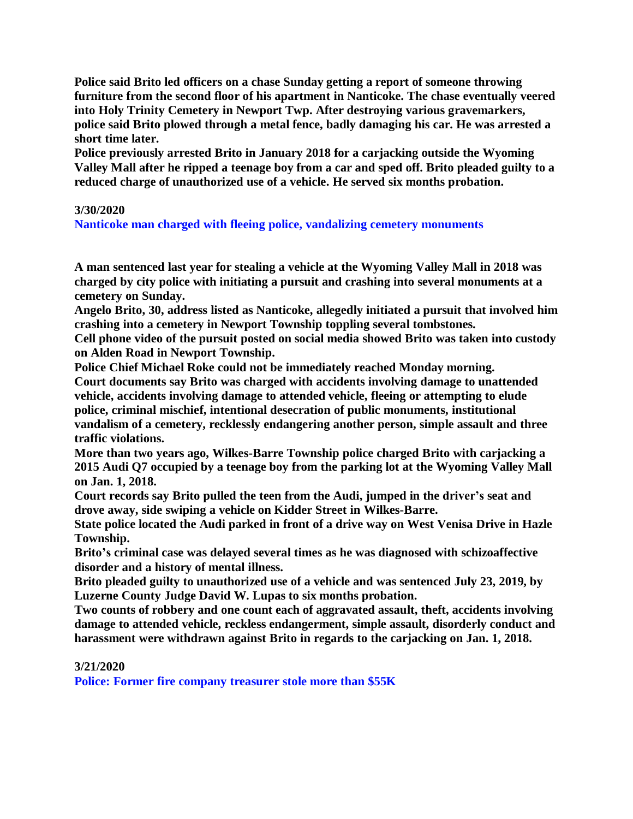**Police said Brito led officers on a chase Sunday getting a report of someone throwing furniture from the second floor of his apartment in Nanticoke. The chase eventually veered into Holy Trinity Cemetery in Newport Twp. After destroying various gravemarkers, police said Brito plowed through a metal fence, badly damaging his car. He was arrested a short time later.**

**Police previously arrested Brito in January 2018 for a carjacking outside the Wyoming** Valley Mall after he ripped a teenage boy from a car and sped off. Brito pleaded guilty to a **reduced charge of unauthorized use of a vehicle. He served six months probation.**

## **3/30/2020**

**Nanticoke man charged with fleeing police, vandalizing cemetery monuments**

**A man sentenced last year for stealing a vehicle at the Wyoming Valley Mall in 2018 was charged by city police with initiating a pursuit and crashing into several monuments at a cemetery on Sunday.**

**Angelo Brito, 30, address listed as Nanticoke, allegedly initiated a pursuit that involved him crashing into a cemetery in Newport Township toppling several tombstones.**

**Cell phone video of the pursuit posted on social media showed Brito was taken into custody on Alden Road in Newport Township.**

**Police Chief Michael Roke could not be immediately reached Monday morning.**

**Court documents say Brito was charged with accidents involving damage to unattended vehicle, accidents involving damage to attended vehicle, fleeing or attempting to elude police, criminal mischief, intentional desecration of public monuments, institutional vandalism of a cemetery, recklessly endangering another person, simple assault and three traffic violations.**

**More than two years ago, Wilkes-Barre Township police charged Brito with carjacking a 2015 Audi Q7 occupied by a teenage boy from the parking lot at the Wyoming Valley Mall on Jan. 1, 2018.**

**Court records say Brito pulled the teen from the Audi, jumped in the driver's seat and drove away, side swiping a vehicle on Kidder Street in Wilkes-Barre.**

**State police located the Audi parked in front of a drive way on West Venisa Drive in Hazle Township.**

**Brito's criminal case was delayed several times as he was diagnosed with schizoaffective disorder and a history of mental illness.**

**Brito pleaded guilty to unauthorized use of a vehicle and was sentenced July 23, 2019, by Luzerne County Judge David W. Lupas to six months probation.**

**Two counts of robbery and one count each of aggravated assault, theft, accidents involving damage to attended vehicle, reckless endangerment, simple assault, disorderly conduct and harassment were withdrawn against Brito in regards to the carjacking on Jan. 1, 2018.**

## **3/21/2020**

**Police: Former fire company treasurer stole more than \$55K**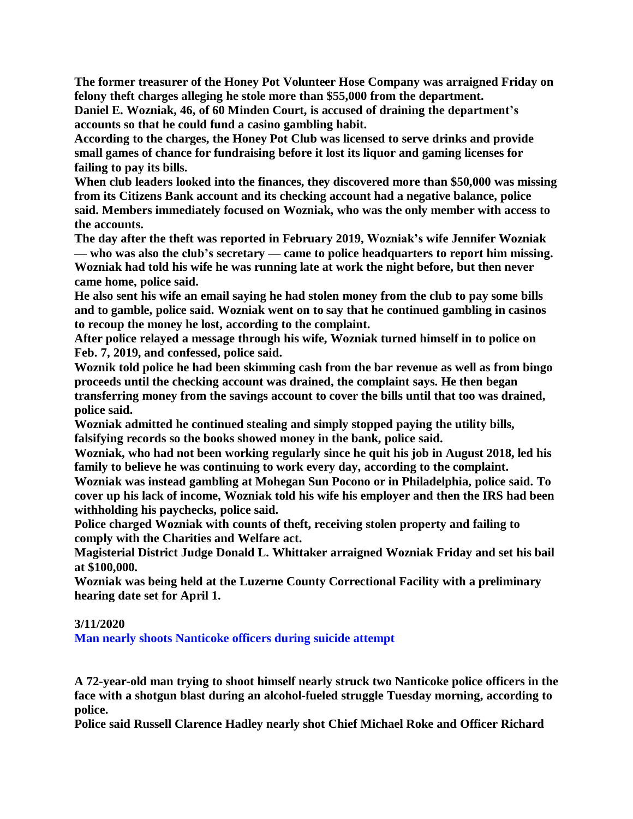**The former treasurer of the Honey Pot Volunteer Hose Company was arraigned Friday on felony theft charges alleging he stole more than \$55,000 from the department.**

**Daniel E. Wozniak, 46, of 60 Minden Court, is accused of draining the department's accounts so that he could fund a casino gambling habit.**

**According to the charges, the Honey Pot Club was licensed to serve drinks and provide small games of chance for fundraising before it lost its liquor and gaming licenses for failing to pay its bills.**

**When club leaders looked into the finances, they discovered more than \$50,000 was missing from its Citizens Bank account and its checking account had a negative balance, police said. Members immediately focused on Wozniak, who was the only member with access to the accounts.**

**The day after the theft was reported in February 2019, Wozniak's wife Jennifer Wozniak — who was also the club's secretary — came to police headquarters to report him missing. Wozniak had told his wife he was running late at work the night before, but then never came home, police said.**

**He also sent his wife an email saying he had stolen money from the club to pay some bills and to gamble, police said. Wozniak went on to say that he continued gambling in casinos to recoup the money he lost, according to the complaint.**

**After police relayed a message through his wife, Wozniak turned himself in to police on Feb. 7, 2019, and confessed, police said.**

**Woznik told police he had been skimming cash from the bar revenue as well as from bingo proceeds until the checking account was drained, the complaint says. He then began transferring money from the savings account to cover the bills until that too was drained, police said.**

**Wozniak admitted he continued stealing and simply stopped paying the utility bills, falsifying records so the books showed money in the bank, police said.**

**Wozniak, who had not been working regularly since he quit his job in August 2018, led his family to believe he was continuing to work every day, according to the complaint.**

**Wozniak was instead gambling at Mohegan Sun Pocono or in Philadelphia, police said. To cover up his lack of income, Wozniak told his wife his employer and then the IRS had been withholding his paychecks, police said.**

**Police charged Wozniak with counts of theft, receiving stolen property and failing to comply with the Charities and Welfare act.**

**Magisterial District Judge Donald L. Whittaker arraigned Wozniak Friday and set his bail at \$100,000.**

**Wozniak was being held at the Luzerne County Correctional Facility with a preliminary hearing date set for April 1.**

## **3/11/2020**

**Man nearly shoots Nanticoke officers during suicide attempt**

**A 72-year-old man trying to shoot himself nearly struck two Nanticoke police officers in the face with a shotgun blast during an alcohol-fueled struggle Tuesday morning, according to police.**

**Police said Russell Clarence Hadley nearly shot Chief Michael Roke and Officer Richard**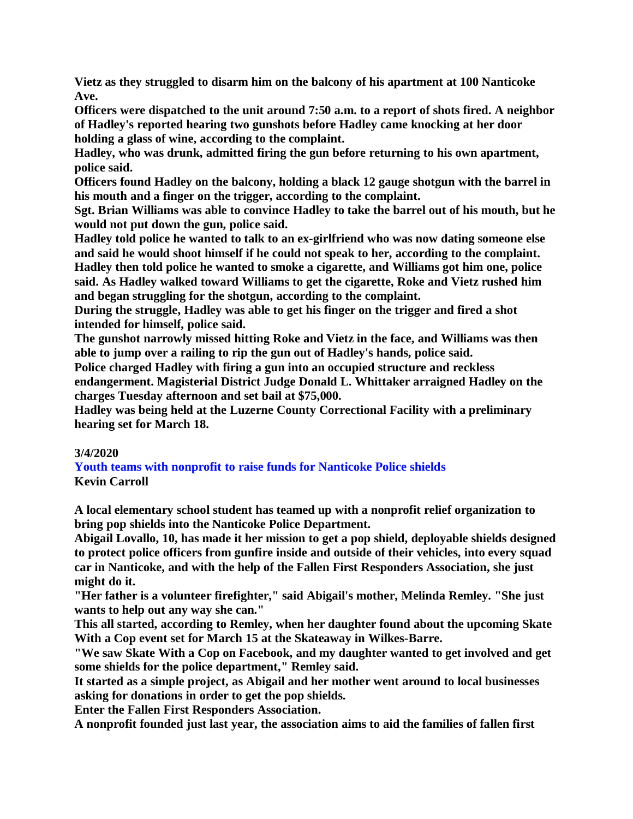**Vietz as they struggled to disarm him on the balcony of his apartment at 100 Nanticoke Ave.**

**Officers were dispatched to the unit around 7:50 a.m. to a report of shots fired. A neighbor of Hadley's reported hearing two gunshots before Hadley came knocking at her door holding a glass of wine, according to the complaint.**

**Hadley, who was drunk, admitted firing the gun before returning to his own apartment, police said.**

**Officers found Hadley on the balcony, holding a black 12 gauge shotgun with the barrel in his mouth and a finger on the trigger, according to the complaint.**

**Sgt. Brian Williams was able to convince Hadley to take the barrel out of his mouth, but he would not put down the gun, police said.**

**Hadley told police he wanted to talk to an ex-girlfriend who was now dating someone else and said he would shoot himself if he could not speak to her, according to the complaint. Hadley then told police he wanted to smoke a cigarette, and Williams got him one, police said. As Hadley walked toward Williams to get the cigarette, Roke and Vietz rushed him and began struggling for the shotgun, according to the complaint.**

**During the struggle, Hadley was able to get his finger on the trigger and fired a shot intended for himself, police said.**

**The gunshot narrowly missed hitting Roke and Vietz in the face, and Williams was then able to jump over a railing to rip the gun out of Hadley's hands, police said.**

**Police charged Hadley with firing a gun into an occupied structure and reckless endangerment. Magisterial District Judge Donald L. Whittaker arraigned Hadley on the charges Tuesday afternoon and set bail at \$75,000.**

**Hadley was being held at the Luzerne County Correctional Facility with a preliminary hearing set for March 18.**

# **3/4/2020**

**Youth teams with nonprofit to raise funds for Nanticoke Police shields Kevin Carroll**

**A local elementary school student has teamed up with a nonprofit relief organization to bring pop shields into the Nanticoke Police Department.**

**Abigail Lovallo, 10, has made it her mission to get a pop shield, deployable shields designed to protect police officers from gunfire inside and outside of their vehicles, into every squad car in Nanticoke, and with the help of the Fallen First Responders Association, she just might do it.**

**"Her father is a volunteer firefighter," said Abigail's mother, Melinda Remley. "She just wants to help out any way she can."**

**This all started, according to Remley, when her daughter found about the upcoming Skate With a Cop event set for March 15 at the Skateaway in Wilkes-Barre.**

**"We saw Skate With a Cop on Facebook, and my daughter wanted to get involved and get some shields for the police department," Remley said.**

**It started as a simple project, as Abigail and her mother went around to local businesses asking for donations in order to get the pop shields.**

**Enter the Fallen First Responders Association.**

**A nonprofit founded just last year, the association aims to aid the families of fallen first**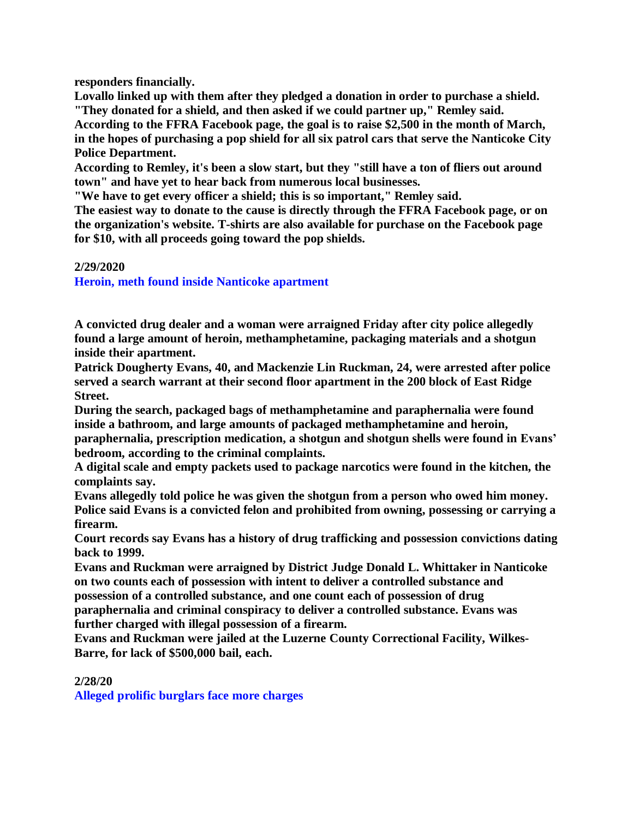**responders financially.**

**Lovallo linked up with them after they pledged a donation in order to purchase a shield. "They donated for a shield, and then asked if we could partner up," Remley said. According to the FFRA Facebook page, the goal is to raise \$2,500 in the month of March,**

**in the hopes of purchasing a pop shield for all six patrol cars that serve the Nanticoke City Police Department.**

**According to Remley, it's been a slow start, but they "still have a ton of fliers out around town" and have yet to hear back from numerous local businesses.**

**"We have to get every officer a shield; this is so important," Remley said.**

**The easiest way to donate to the cause is directly through the FFRA Facebook page, or on the organization's website. T-shirts are also available for purchase on the Facebook page for \$10, with all proceeds going toward the pop shields.**

## **2/29/2020**

**Heroin, meth found inside Nanticoke apartment**

**A convicted drug dealer and a woman were arraigned Friday after city police allegedly found a large amount of heroin, methamphetamine, packaging materials and a shotgun inside their apartment.**

**Patrick Dougherty Evans, 40, and Mackenzie Lin Ruckman, 24, were arrested after police served a search warrant at their second floor apartment in the 200 block of East Ridge Street.**

**During the search, packaged bags of methamphetamine and paraphernalia were found inside a bathroom, and large amounts of packaged methamphetamine and heroin, paraphernalia, prescription medication, a shotgun and shotgun shells were found in Evans' bedroom, according to the criminal complaints.**

**A digital scale and empty packets used to package narcotics were found in the kitchen, the complaints say.**

**Evans allegedly told police he was given the shotgun from a person who owed him money. Police said Evans is a convicted felon and prohibited from owning, possessing or carrying a firearm.**

**Court records say Evans has a history of drug trafficking and possession convictions dating back to 1999.**

**Evans and Ruckman were arraigned by District Judge Donald L. Whittaker in Nanticoke on two counts each of possession with intent to deliver a controlled substance and possession of a controlled substance, and one count each of possession of drug paraphernalia and criminal conspiracy to deliver a controlled substance. Evans was further charged with illegal possession of a firearm.**

**Evans and Ruckman were jailed at the Luzerne County Correctional Facility, Wilkes-Barre, for lack of \$500,000 bail, each.**

**2/28/20**

**Alleged prolific burglars face more charges**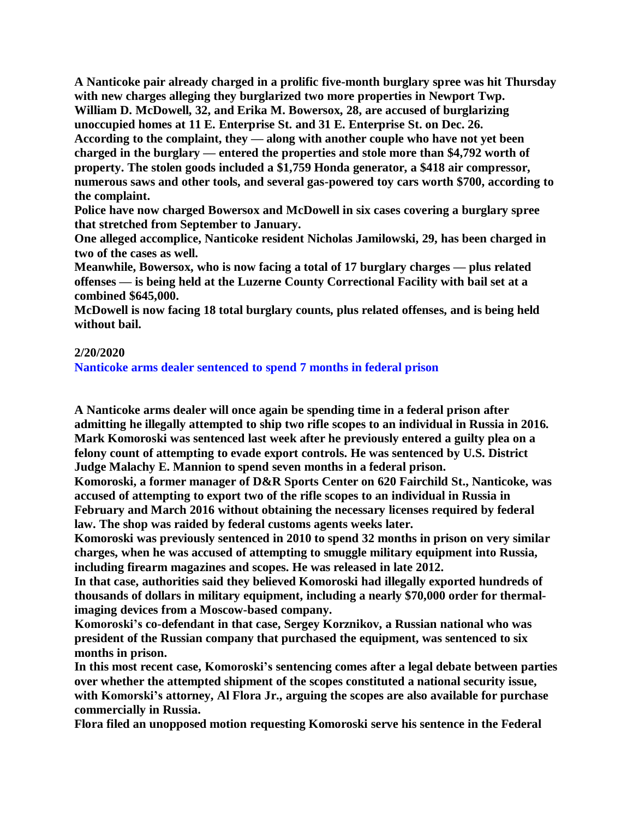**A Nanticoke pair already charged in a prolific five-month burglary spree was hit Thursday with new charges alleging they burglarized two more properties in Newport Twp. William D. McDowell, 32, and Erika M. Bowersox, 28, are accused of burglarizing unoccupied homes at 11 E. Enterprise St. and 31 E. Enterprise St. on Dec. 26. According to the complaint, they — along with another couple who have not yet been charged in the burglary — entered the properties and stole more than \$4,792 worth of property. The stolen goods included a \$1,759 Honda generator, a \$418 air compressor, numerous saws and other tools, and several gas-powered toy cars worth \$700, according to the complaint.**

**Police have now charged Bowersox and McDowell in six cases covering a burglary spree that stretched from September to January.**

**One alleged accomplice, Nanticoke resident Nicholas Jamilowski, 29, has been charged in two of the cases as well.**

**Meanwhile, Bowersox, who is now facing a total of 17 burglary charges — plus related offenses — is being held at the Luzerne County Correctional Facility with bail set at a combined \$645,000.**

**McDowell is now facing 18 total burglary counts, plus related offenses, and is being held without bail.**

## **2/20/2020**

**Nanticoke arms dealer sentenced to spend 7 months in federal prison**

**A Nanticoke arms dealer will once again be spending time in a federal prison after admitting he illegally attempted to ship two rifle scopes to an individual in Russia in 2016. Mark Komoroski was sentenced last week after he previously entered a guilty plea on a felony count of attempting to evade export controls. He was sentenced by U.S. District Judge Malachy E. Mannion to spend seven months in a federal prison.**

**Komoroski, a former manager of D&R Sports Center on 620 Fairchild St., Nanticoke, was accused of attempting to export two of the rifle scopes to an individual in Russia in February and March 2016 without obtaining the necessary licenses required by federal law. The shop was raided by federal customs agents weeks later.**

**Komoroski was previously sentenced in 2010 to spend 32 months in prison on very similar charges, when he was accused of attempting to smuggle military equipment into Russia, including firearm magazines and scopes. He was released in late 2012.**

**In that case, authorities said they believed Komoroski had illegally exported hundreds of thousands of dollars in military equipment, including a nearly \$70,000 order for thermalimaging devices from a Moscow-based company.**

**Komoroski's co-defendant in that case, Sergey Korznikov, a Russian national who was president of the Russian company that purchased the equipment, was sentenced to six months in prison.**

**In this most recent case, Komoroski's sentencing comes after a legal debate between parties over whether the attempted shipment of the scopes constituted a national security issue, with Komorski's attorney, Al Flora Jr., arguing the scopes are also available for purchase commercially in Russia.**

**Flora filed an unopposed motion requesting Komoroski serve his sentence in the Federal**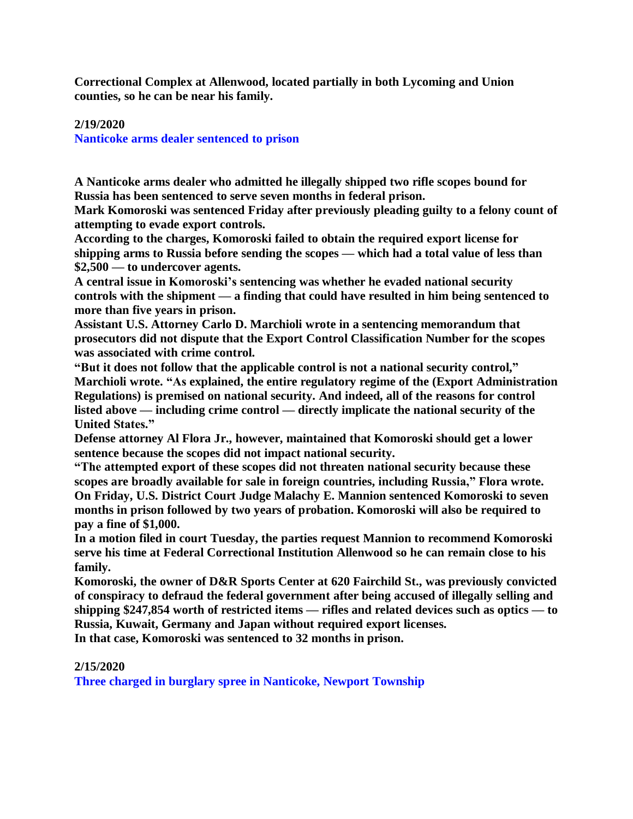**Correctional Complex at Allenwood, located partially in both Lycoming and Union counties, so he can be near his family.**

## **2/19/2020**

**Nanticoke arms dealer sentenced to prison**

**A Nanticoke arms dealer who admitted he illegally shipped two rifle scopes bound for Russia has been sentenced to serve seven months in federal prison.**

**Mark Komoroski was sentenced Friday after previously pleading guilty to a felony count of attempting to evade export controls.**

**According to the charges, Komoroski failed to obtain the required export license for shipping arms to Russia before sending the scopes — which had a total value of less than \$2,500 — to undercover agents.**

**A central issue in Komoroski's sentencing was whether he evaded national security controls with the shipment — a finding that could have resulted in him being sentenced to more than five years in prison.**

**Assistant U.S. Attorney Carlo D. Marchioli wrote in a sentencing memorandum that prosecutors did not dispute that the Export Control Classification Number for the scopes was associated with crime control.**

**"But it does not follow that the applicable control is not a national security control," Marchioli wrote. "As explained, the entire regulatory regime of the (Export Administration Regulations) is premised on national security. And indeed, all of the reasons for control listed above — including crime control — directly implicate the national security of the United States."**

**Defense attorney Al Flora Jr., however, maintained that Komoroski should get a lower sentence because the scopes did not impact national security.**

**"The attempted export of these scopes did not threaten national security because these scopes are broadly available for sale in foreign countries, including Russia," Flora wrote. On Friday, U.S. District Court Judge Malachy E. Mannion sentenced Komoroski to seven months in prison followed by two years of probation. Komoroski will also be required to pay a fine of \$1,000.**

**In a motion filed in court Tuesday, the parties request Mannion to recommend Komoroski serve his time at Federal Correctional Institution Allenwood so he can remain close to his family.**

**Komoroski, the owner of D&R Sports Center at 620 Fairchild St., was previously convicted of conspiracy to defraud the federal government after being accused of illegally selling and shipping \$247,854 worth of restricted items — rifles and related devices such as optics — to Russia, Kuwait, Germany and Japan without required export licenses.**

**In that case, Komoroski was sentenced to 32 months in prison.**

## **2/15/2020**

**Three charged in burglary spree in Nanticoke, Newport Township**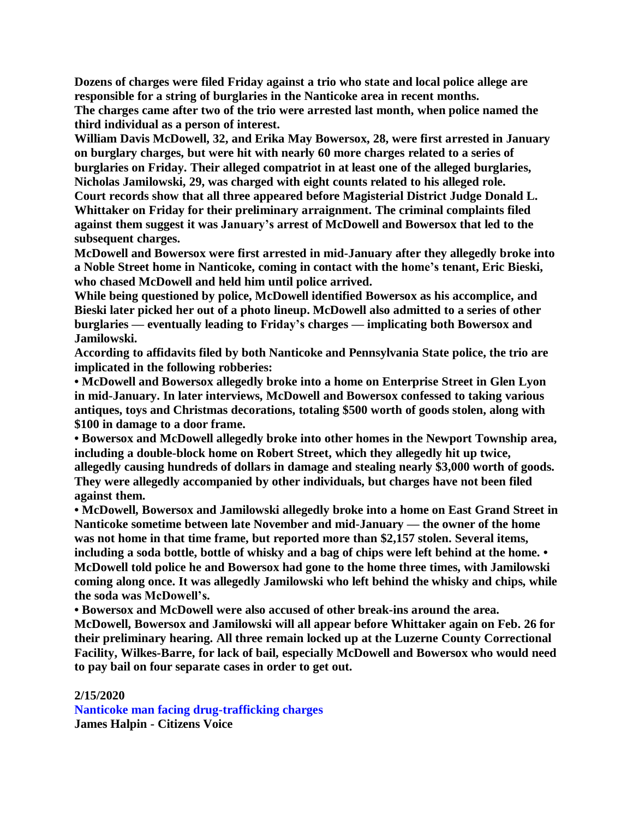**Dozens of charges were filed Friday against a trio who state and local police allege are responsible for a string of burglaries in the Nanticoke area in recent months.**

**The charges came after two of the trio were arrested last month, when police named the third individual as a person of interest.**

**William Davis McDowell, 32, and Erika May Bowersox, 28, were first arrested in January on burglary charges, but were hit with nearly 60 more charges related to a series of burglaries on Friday. Their alleged compatriot in at least one of the alleged burglaries, Nicholas Jamilowski, 29, was charged with eight counts related to his alleged role. Court records show that all three appeared before Magisterial District Judge Donald L. Whittaker on Friday for their preliminary arraignment. The criminal complaints filed against them suggest it was January's arrest of McDowell and Bowersox that led to the subsequent charges.**

**McDowell and Bowersox were first arrested in mid-January after they allegedly broke into a Noble Street home in Nanticoke, coming in contact with the home's tenant, Eric Bieski, who chased McDowell and held him until police arrived.**

**While being questioned by police, McDowell identified Bowersox as his accomplice, and Bieski later picked her out of a photo lineup. McDowell also admitted to a series of other burglaries — eventually leading to Friday's charges — implicating both Bowersox and Jamilowski.**

**According to affidavits filed by both Nanticoke and Pennsylvania State police, the trio are implicated in the following robberies:**

**• McDowell and Bowersox allegedly broke into a home on Enterprise Street in Glen Lyon in mid-January. In later interviews, McDowell and Bowersox confessed to taking various antiques, toys and Christmas decorations, totaling \$500 worth of goods stolen, along with \$100 in damage to a door frame.**

**• Bowersox and McDowell allegedly broke into other homes in the Newport Township area, including a double-block home on Robert Street, which they allegedly hit up twice, allegedly causing hundreds of dollars in damage and stealing nearly \$3,000 worth of goods. They were allegedly accompanied by other individuals, but charges have not been filed against them.**

**• McDowell, Bowersox and Jamilowski allegedly broke into a home on East Grand Street in Nanticoke sometime between late November and mid-January — the owner of the home was not home in that time frame, but reported more than \$2,157 stolen. Several items,** including a soda bottle, bottle of whisky and a bag of chips were left behind at the home. • **McDowell told police he and Bowersox had gone to the home three times, with Jamilowski coming along once. It was allegedly Jamilowski who left behind the whisky and chips, while the soda was McDowell's.**

**• Bowersox and McDowell were also accused of other break-ins around the area.**

**McDowell, Bowersox and Jamilowski will all appear before Whittaker again on Feb. 26 for their preliminary hearing. All three remain locked up at the Luzerne County Correctional Facility, Wilkes-Barre, for lack of bail, especially McDowell and Bowersox who would need to pay bail on four separate cases in order to get out.**

## **2/15/2020**

**Nanticoke man facing drug-trafficking charges James Halpin - Citizens Voice**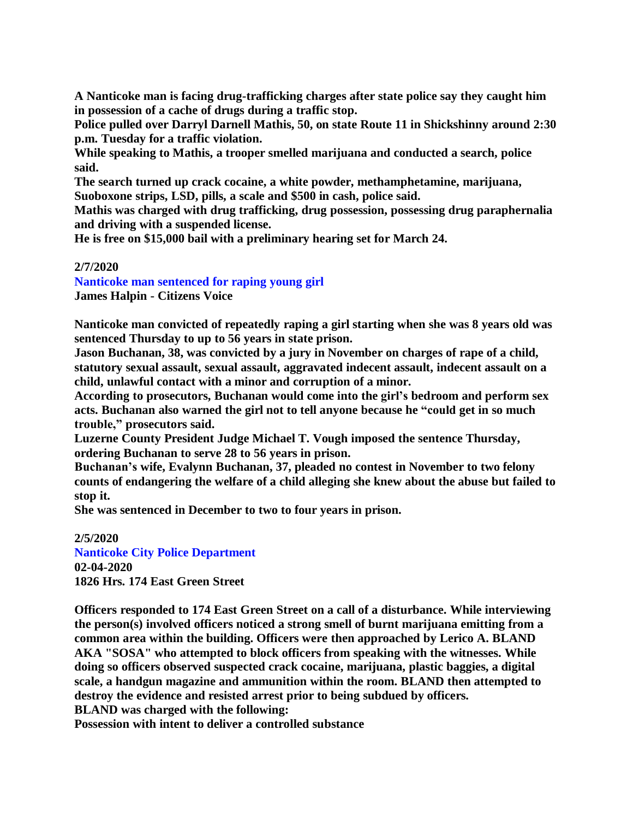**A Nanticoke man is facing drug-trafficking charges after state police say they caught him in possession of a cache of drugs during a traffic stop.**

**Police pulled over Darryl Darnell Mathis, 50, on state Route 11 in Shickshinny around 2:30 p.m. Tuesday for a traffic violation.**

**While speaking to Mathis, a trooper smelled marijuana and conducted a search, police said.**

**The search turned up crack cocaine, a white powder, methamphetamine, marijuana, Suoboxone strips, LSD, pills, a scale and \$500 in cash, police said.**

**Mathis was charged with drug trafficking, drug possession, possessing drug paraphernalia and driving with a suspended license.**

**He is free on \$15,000 bail with a preliminary hearing set for March 24.**

## **2/7/2020**

**Nanticoke man sentenced for raping young girl**

**James Halpin - Citizens Voice**

**Nanticoke man convicted of repeatedly raping a girl starting when she was 8 years old was sentenced Thursday to up to 56 years in state prison.**

**Jason Buchanan, 38, was convicted by a jury in November on charges of rape of a child, statutory sexual assault, sexual assault, aggravated indecent assault, indecent assault on a child, unlawful contact with a minor and corruption of a minor.**

**According to prosecutors, Buchanan would come into the girl's bedroom and perform sex acts. Buchanan also warned the girl not to tell anyone because he "could get in so much trouble," prosecutors said.**

**Luzerne County President Judge Michael T. Vough imposed the sentence Thursday, ordering Buchanan to serve 28 to 56 years in prison.**

**Buchanan's wife, Evalynn Buchanan, 37, pleaded no contest in November to two felony counts of endangering the welfare of a child alleging she knew about the abuse but failed to stop it.**

**She was sentenced in December to two to four years in prison.**

**2/5/2020 Nanticoke City Police Department 02-04-2020 1826 Hrs. 174 East Green Street**

**Officers responded to 174 East Green Street on a call of a disturbance. While interviewing the person(s) involved officers noticed a strong smell of burnt marijuana emitting from a common area within the building. Officers were then approached by Lerico A. BLAND AKA "SOSA" who attempted to block officers from speaking with the witnesses. While doing so officers observed suspected crack cocaine, marijuana, plastic baggies, a digital scale, a handgun magazine and ammunition within the room. BLAND then attempted to destroy the evidence and resisted arrest prior to being subdued by officers. BLAND was charged with the following:**

**Possession with intent to deliver a controlled substance**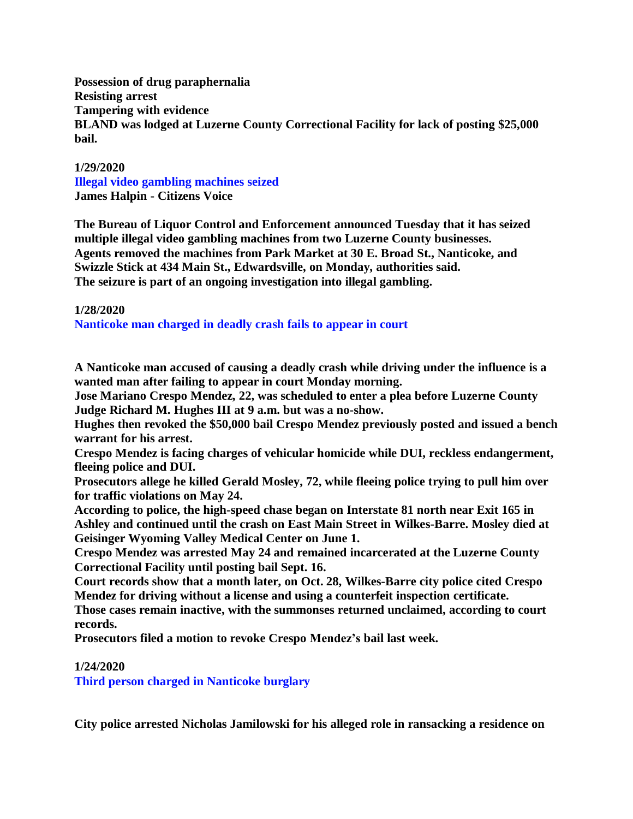**Possession of drug paraphernalia Resisting arrest Tampering with evidence BLAND was lodged at Luzerne County Correctional Facility for lack of posting \$25,000 bail.**

#### **1/29/2020**

**Illegal video gambling machines seized James Halpin - Citizens Voice**

**The Bureau of Liquor Control and Enforcement announced Tuesday that it has seized multiple illegal video gambling machines from two Luzerne County businesses. Agents removed the machines from Park Market at 30 E. Broad St., Nanticoke, and Swizzle Stick at 434 Main St., Edwardsville, on Monday, authorities said. The seizure is part of an ongoing investigation into illegal gambling.**

#### **1/28/2020**

**Nanticoke man charged in deadly crash fails to appear in court**

**A Nanticoke man accused of causing a deadly crash while driving under the influence is a wanted man after failing to appear in court Monday morning.**

**Jose Mariano Crespo Mendez, 22, was scheduled to enter a plea before Luzerne County Judge Richard M. Hughes III at 9 a.m. but was a no-show.**

**Hughes then revoked the \$50,000 bail Crespo Mendez previously posted and issued a bench warrant for his arrest.**

**Crespo Mendez is facing charges of vehicular homicide while DUI, reckless endangerment, fleeing police and DUI.**

**Prosecutors allege he killed Gerald Mosley, 72, while fleeing police trying to pull him over for traffic violations on May 24.**

**According to police, the high-speed chase began on Interstate 81 north near Exit 165 in Ashley and continued until the crash on East Main Street in Wilkes-Barre. Mosley died at Geisinger Wyoming Valley Medical Center on June 1.**

**Crespo Mendez was arrested May 24 and remained incarcerated at the Luzerne County Correctional Facility until posting bail Sept. 16.**

**Court records show that a month later, on Oct. 28, Wilkes-Barre city police cited Crespo Mendez for driving without a license and using a counterfeit inspection certificate.**

**Those cases remain inactive, with the summonses returned unclaimed, according to court records.**

**Prosecutors filed a motion to revoke Crespo Mendez's bail last week.**

#### **1/24/2020**

**Third person charged in Nanticoke burglary**

**City police arrested Nicholas Jamilowski for his alleged role in ransacking a residence on**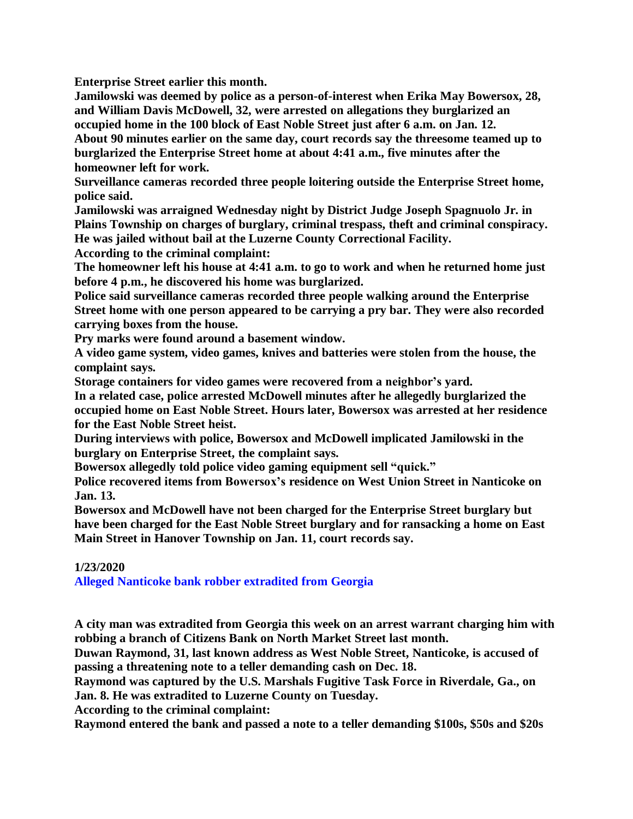**Enterprise Street earlier this month.**

**Jamilowski was deemed by police as a person-of-interest when Erika May Bowersox, 28, and William Davis McDowell, 32, were arrested on allegations they burglarized an occupied home in the 100 block of East Noble Street just after 6 a.m. on Jan. 12.**

**About 90 minutes earlier on the same day, court records say the threesome teamed up to burglarized the Enterprise Street home at about 4:41 a.m., five minutes after the homeowner left for work.**

**Surveillance cameras recorded three people loitering outside the Enterprise Street home, police said.**

**Jamilowski was arraigned Wednesday night by District Judge Joseph Spagnuolo Jr. in Plains Township on charges of burglary, criminal trespass, theft and criminal conspiracy. He was jailed without bail at the Luzerne County Correctional Facility.**

**According to the criminal complaint:**

**The homeowner left his house at 4:41 a.m. to go to work and when he returned home just before 4 p.m., he discovered his home was burglarized.**

**Police said surveillance cameras recorded three people walking around the Enterprise Street home with one person appeared to be carrying a pry bar. They were also recorded carrying boxes from the house.**

**Pry marks were found around a basement window.**

**A video game system, video games, knives and batteries were stolen from the house, the complaint says.**

**Storage containers for video games were recovered from a neighbor's yard.**

**In a related case, police arrested McDowell minutes after he allegedly burglarized the occupied home on East Noble Street. Hours later, Bowersox was arrested at her residence for the East Noble Street heist.**

**During interviews with police, Bowersox and McDowell implicated Jamilowski in the burglary on Enterprise Street, the complaint says.**

**Bowersox allegedly told police video gaming equipment sell "quick."**

**Police recovered items from Bowersox's residence on West Union Street in Nanticoke on Jan. 13.**

**Bowersox and McDowell have not been charged for the Enterprise Street burglary but have been charged for the East Noble Street burglary and for ransacking a home on East Main Street in Hanover Township on Jan. 11, court records say.**

## **1/23/2020**

**Alleged Nanticoke bank robber extradited from Georgia**

**A city man was extradited from Georgia this week on an arrest warrant charging him with robbing a branch of Citizens Bank on North Market Street last month.**

**Duwan Raymond, 31, last known address as West Noble Street, Nanticoke, is accused of passing a threatening note to a teller demanding cash on Dec. 18.**

**Raymond was captured by the U.S. Marshals Fugitive Task Force in Riverdale, Ga., on Jan. 8. He was extradited to Luzerne County on Tuesday.**

**According to the criminal complaint:**

**Raymond entered the bank and passed a note to a teller demanding \$100s, \$50s and \$20s**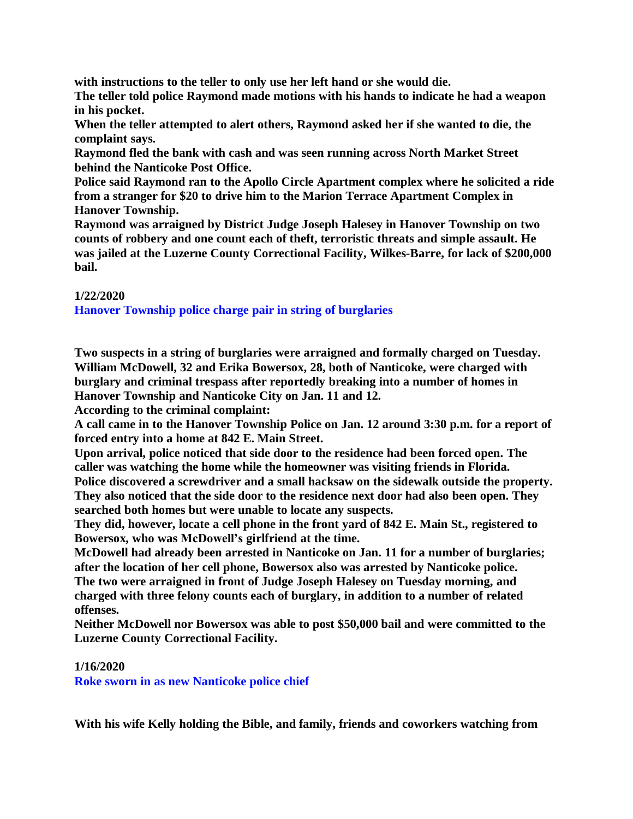**with instructions to the teller to only use her left hand or she would die. The teller told police Raymond made motions with his hands to indicate he had a weapon in his pocket.**

**When the teller attempted to alert others, Raymond asked her if she wanted to die, the complaint says.**

**Raymond fled the bank with cash and was seen running across North Market Street behind the Nanticoke Post Office.**

**Police said Raymond ran to the Apollo Circle Apartment complex where he solicited a ride from a stranger for \$20 to drive him to the Marion Terrace Apartment Complex in Hanover Township.**

**Raymond was arraigned by District Judge Joseph Halesey in Hanover Township on two counts of robbery and one count each of theft, terroristic threats and simple assault. He was jailed at the Luzerne County Correctional Facility, Wilkes-Barre, for lack of \$200,000 bail.**

## **1/22/2020**

**Hanover Township police charge pair in string of burglaries**

**Two suspects in a string of burglaries were arraigned and formally charged on Tuesday. William McDowell, 32 and Erika Bowersox, 28, both of Nanticoke, were charged with burglary and criminal trespass after reportedly breaking into a number of homes in Hanover Township and Nanticoke City on Jan. 11 and 12.**

**According to the criminal complaint:**

**A call came in to the Hanover Township Police on Jan. 12 around 3:30 p.m. for a report of forced entry into a home at 842 E. Main Street.**

**Upon arrival, police noticed that side door to the residence had been forced open. The caller was watching the home while the homeowner was visiting friends in Florida. Police discovered a screwdriver and a small hacksaw on the sidewalk outside the property. They also noticed that the side door to the residence next door had also been open. They searched both homes but were unable to locate any suspects.**

**They did, however, locate a cell phone in the front yard of 842 E. Main St., registered to Bowersox, who was McDowell's girlfriend at the time.**

**McDowell had already been arrested in Nanticoke on Jan. 11 for a number of burglaries; after the location of her cell phone, Bowersox also was arrested by Nanticoke police. The two were arraigned in front of Judge Joseph Halesey on Tuesday morning, and charged with three felony counts each of burglary, in addition to a number of related offenses.**

**Neither McDowell nor Bowersox was able to post \$50,000 bail and were committed to the Luzerne County Correctional Facility.**

## **1/16/2020**

**Roke sworn in as new Nanticoke police chief**

**With his wife Kelly holding the Bible, and family, friends and coworkers watching from**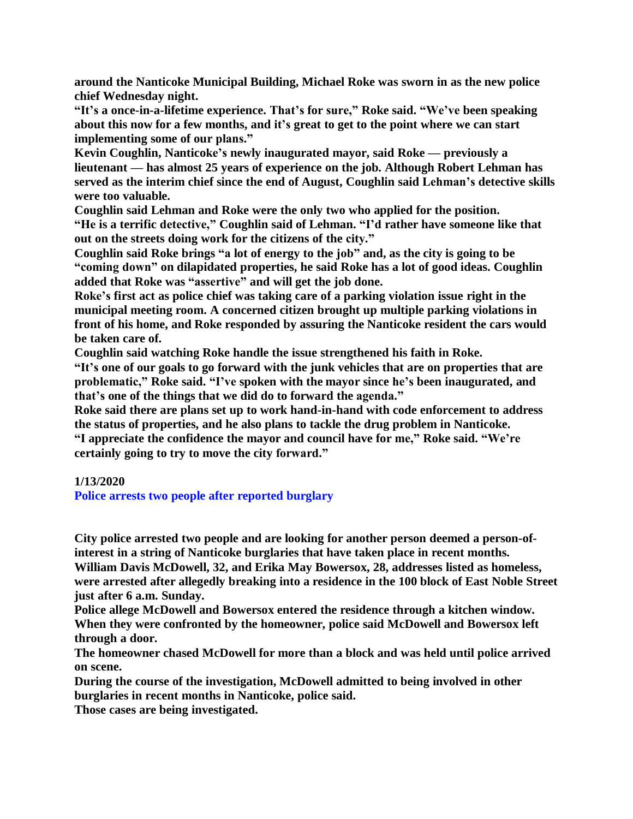**around the Nanticoke Municipal Building, Michael Roke was sworn in as the new police chief Wednesday night.**

**"It's a once-in-a-lifetime experience. That's for sure," Roke said. "We've been speaking about this now for a few months, and it's great to get to the point where we can start implementing some of our plans."**

**Kevin Coughlin, Nanticoke's newly inaugurated mayor, said Roke — previously a lieutenant — has almost 25 years of experience on the job. Although Robert Lehman has served as the interim chief since the end of August, Coughlin said Lehman's detective skills were too valuable.**

**Coughlin said Lehman and Roke were the only two who applied for the position. "He is a terrific detective," Coughlin said of Lehman. "I'd rather have someone like that out on the streets doing work for the citizens of the city."**

**Coughlin said Roke brings "a lot of energy to the job" and, as the city is going to be "coming down" on dilapidated properties, he said Roke has a lot of good ideas. Coughlin added that Roke was "assertive" and will get the job done.**

**Roke's first act as police chief was taking care of a parking violation issue right in the municipal meeting room. A concerned citizen brought up multiple parking violations in front of his home, and Roke responded by assuring the Nanticoke resident the cars would be taken care of.**

**Coughlin said watching Roke handle the issue strengthened his faith in Roke.**

**"It's one of our goals to go forward with the junk vehicles that are on properties that are problematic," Roke said. "I've spoken with the mayor since he's been inaugurated, and that's one of the things that we did do to forward the agenda."**

**Roke said there are plans set up to work hand-in-hand with code enforcement to address the status of properties, and he also plans to tackle the drug problem in Nanticoke. "I appreciate the confidence the mayor and council have for me," Roke said. "We're certainly going to try to move the city forward."**

## **1/13/2020**

**Police arrests two people after reported burglary**

**City police arrested two people and are looking for another person deemed a person-ofinterest in a string of Nanticoke burglaries that have taken place in recent months. William Davis McDowell, 32, and Erika May Bowersox, 28, addresses listed as homeless, were arrested after allegedly breaking into a residence in the 100 block of East Noble Street just after 6 a.m. Sunday.**

**Police allege McDowell and Bowersox entered the residence through a kitchen window. When they were confronted by the homeowner, police said McDowell and Bowersox left through a door.**

**The homeowner chased McDowell for more than a block and was held until police arrived on scene.**

**During the course of the investigation, McDowell admitted to being involved in other burglaries in recent months in Nanticoke, police said.**

**Those cases are being investigated.**